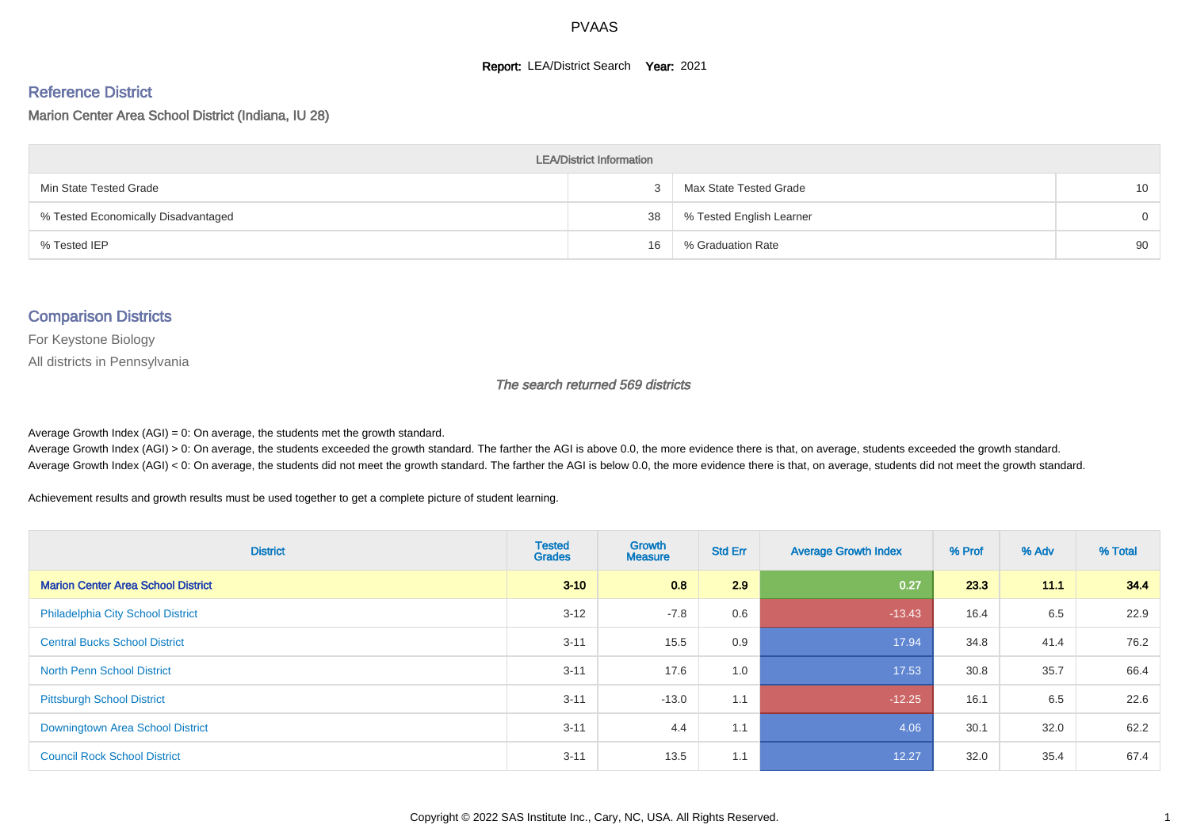#### **Report: LEA/District Search Year: 2021**

#### Reference District

Marion Center Area School District (Indiana, IU 28)

| <b>LEA/District Information</b>     |    |                          |                 |  |  |  |  |  |  |
|-------------------------------------|----|--------------------------|-----------------|--|--|--|--|--|--|
| Min State Tested Grade              |    | Max State Tested Grade   | 10 <sup>1</sup> |  |  |  |  |  |  |
| % Tested Economically Disadvantaged | 38 | % Tested English Learner | $\Omega$        |  |  |  |  |  |  |
| % Tested IEP                        | 16 | % Graduation Rate        | 90              |  |  |  |  |  |  |

#### Comparison Districts

For Keystone Biology

All districts in Pennsylvania

The search returned 569 districts

Average Growth Index  $(AGI) = 0$ : On average, the students met the growth standard.

Average Growth Index (AGI) > 0: On average, the students exceeded the growth standard. The farther the AGI is above 0.0, the more evidence there is that, on average, students exceeded the growth standard. Average Growth Index (AGI) < 0: On average, the students did not meet the growth standard. The farther the AGI is below 0.0, the more evidence there is that, on average, students did not meet the growth standard.

Achievement results and growth results must be used together to get a complete picture of student learning.

| <b>District</b>                           | <b>Tested</b><br><b>Grades</b> | Growth<br><b>Measure</b> | <b>Std Err</b> | <b>Average Growth Index</b> | % Prof | % Adv | % Total |
|-------------------------------------------|--------------------------------|--------------------------|----------------|-----------------------------|--------|-------|---------|
| <b>Marion Center Area School District</b> | $3 - 10$                       | 0.8                      | 2.9            | 0.27                        | 23.3   | 11.1  | 34.4    |
| <b>Philadelphia City School District</b>  | $3 - 12$                       | $-7.8$                   | 0.6            | $-13.43$                    | 16.4   | 6.5   | 22.9    |
| <b>Central Bucks School District</b>      | $3 - 11$                       | 15.5                     | 0.9            | 17.94                       | 34.8   | 41.4  | 76.2    |
| <b>North Penn School District</b>         | $3 - 11$                       | 17.6                     | 1.0            | 17.53                       | 30.8   | 35.7  | 66.4    |
| <b>Pittsburgh School District</b>         | $3 - 11$                       | $-13.0$                  | 1.1            | $-12.25$                    | 16.1   | 6.5   | 22.6    |
| <b>Downingtown Area School District</b>   | $3 - 11$                       | 4.4                      | 1.1            | 4.06                        | 30.1   | 32.0  | 62.2    |
| <b>Council Rock School District</b>       | $3 - 11$                       | 13.5                     | 1.1            | 12.27                       | 32.0   | 35.4  | 67.4    |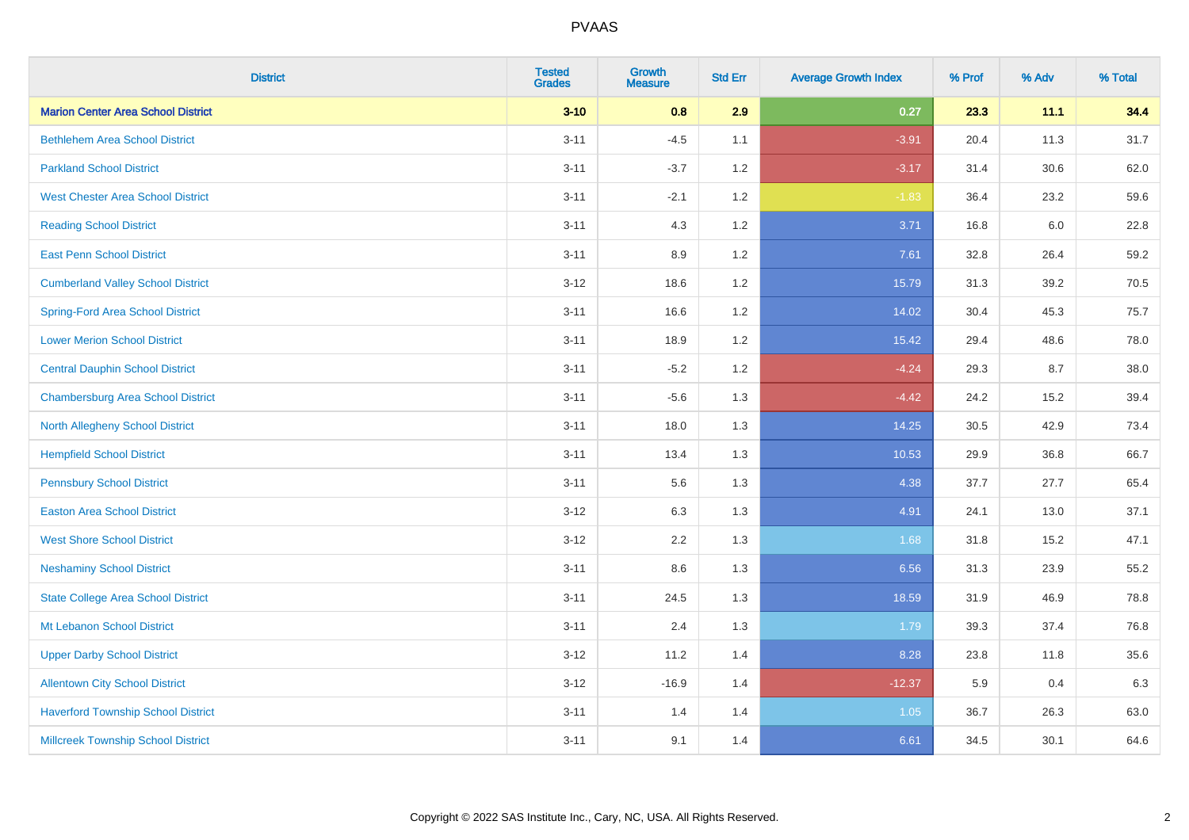| <b>District</b>                           | <b>Tested</b><br><b>Grades</b> | Growth<br><b>Measure</b> | <b>Std Err</b> | <b>Average Growth Index</b> | % Prof | % Adv | % Total |
|-------------------------------------------|--------------------------------|--------------------------|----------------|-----------------------------|--------|-------|---------|
| <b>Marion Center Area School District</b> | $3 - 10$                       | 0.8                      | 2.9            | 0.27                        | 23.3   | 11.1  | 34.4    |
| <b>Bethlehem Area School District</b>     | $3 - 11$                       | $-4.5$                   | 1.1            | $-3.91$                     | 20.4   | 11.3  | 31.7    |
| <b>Parkland School District</b>           | $3 - 11$                       | $-3.7$                   | 1.2            | $-3.17$                     | 31.4   | 30.6  | 62.0    |
| <b>West Chester Area School District</b>  | $3 - 11$                       | $-2.1$                   | 1.2            | $-1.83$                     | 36.4   | 23.2  | 59.6    |
| <b>Reading School District</b>            | $3 - 11$                       | 4.3                      | 1.2            | 3.71                        | 16.8   | 6.0   | 22.8    |
| <b>East Penn School District</b>          | $3 - 11$                       | 8.9                      | 1.2            | 7.61                        | 32.8   | 26.4  | 59.2    |
| <b>Cumberland Valley School District</b>  | $3 - 12$                       | 18.6                     | 1.2            | 15.79                       | 31.3   | 39.2  | 70.5    |
| <b>Spring-Ford Area School District</b>   | $3 - 11$                       | 16.6                     | 1.2            | 14.02                       | 30.4   | 45.3  | 75.7    |
| <b>Lower Merion School District</b>       | $3 - 11$                       | 18.9                     | 1.2            | 15.42                       | 29.4   | 48.6  | 78.0    |
| <b>Central Dauphin School District</b>    | $3 - 11$                       | $-5.2$                   | 1.2            | $-4.24$                     | 29.3   | 8.7   | 38.0    |
| <b>Chambersburg Area School District</b>  | $3 - 11$                       | $-5.6$                   | 1.3            | $-4.42$                     | 24.2   | 15.2  | 39.4    |
| <b>North Allegheny School District</b>    | $3 - 11$                       | 18.0                     | 1.3            | 14.25                       | 30.5   | 42.9  | 73.4    |
| <b>Hempfield School District</b>          | $3 - 11$                       | 13.4                     | 1.3            | 10.53                       | 29.9   | 36.8  | 66.7    |
| <b>Pennsbury School District</b>          | $3 - 11$                       | 5.6                      | 1.3            | 4.38                        | 37.7   | 27.7  | 65.4    |
| <b>Easton Area School District</b>        | $3 - 12$                       | 6.3                      | 1.3            | 4.91                        | 24.1   | 13.0  | 37.1    |
| <b>West Shore School District</b>         | $3 - 12$                       | 2.2                      | 1.3            | 1.68                        | 31.8   | 15.2  | 47.1    |
| <b>Neshaminy School District</b>          | $3 - 11$                       | 8.6                      | 1.3            | 6.56                        | 31.3   | 23.9  | 55.2    |
| <b>State College Area School District</b> | $3 - 11$                       | 24.5                     | 1.3            | 18.59                       | 31.9   | 46.9  | 78.8    |
| Mt Lebanon School District                | $3 - 11$                       | 2.4                      | 1.3            | 1.79                        | 39.3   | 37.4  | 76.8    |
| <b>Upper Darby School District</b>        | $3 - 12$                       | 11.2                     | 1.4            | 8.28                        | 23.8   | 11.8  | 35.6    |
| <b>Allentown City School District</b>     | $3 - 12$                       | $-16.9$                  | 1.4            | $-12.37$                    | 5.9    | 0.4   | 6.3     |
| <b>Haverford Township School District</b> | $3 - 11$                       | 1.4                      | 1.4            | $1.05$                      | 36.7   | 26.3  | 63.0    |
| <b>Millcreek Township School District</b> | $3 - 11$                       | 9.1                      | 1.4            | 6.61                        | 34.5   | 30.1  | 64.6    |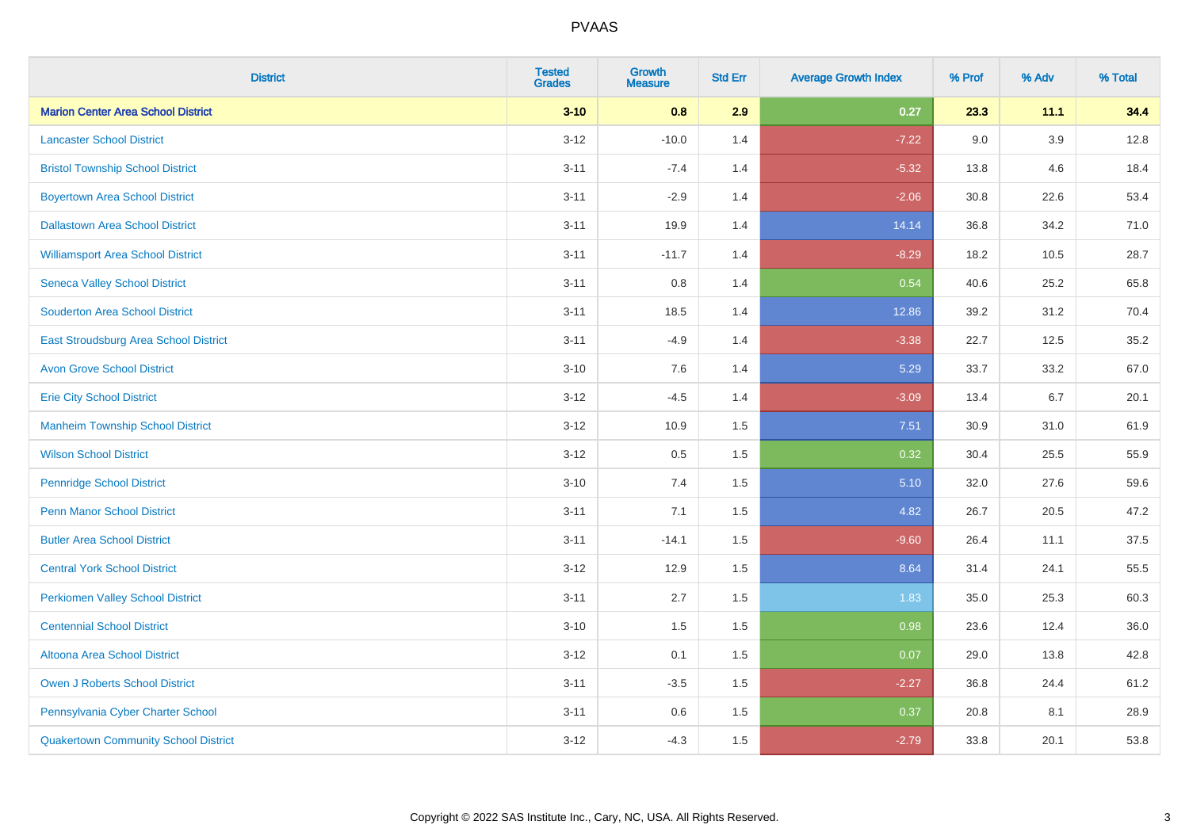| <b>District</b>                             | <b>Tested</b><br><b>Grades</b> | <b>Growth</b><br><b>Measure</b> | <b>Std Err</b> | <b>Average Growth Index</b> | % Prof | % Adv   | % Total |
|---------------------------------------------|--------------------------------|---------------------------------|----------------|-----------------------------|--------|---------|---------|
| <b>Marion Center Area School District</b>   | $3 - 10$                       | 0.8                             | 2.9            | 0.27                        | 23.3   | 11.1    | 34.4    |
| <b>Lancaster School District</b>            | $3 - 12$                       | $-10.0$                         | 1.4            | $-7.22$                     | 9.0    | $3.9\,$ | 12.8    |
| <b>Bristol Township School District</b>     | $3 - 11$                       | $-7.4$                          | 1.4            | $-5.32$                     | 13.8   | 4.6     | 18.4    |
| <b>Boyertown Area School District</b>       | $3 - 11$                       | $-2.9$                          | 1.4            | $-2.06$                     | 30.8   | 22.6    | 53.4    |
| <b>Dallastown Area School District</b>      | $3 - 11$                       | 19.9                            | 1.4            | 14.14                       | 36.8   | 34.2    | 71.0    |
| <b>Williamsport Area School District</b>    | $3 - 11$                       | $-11.7$                         | 1.4            | $-8.29$                     | 18.2   | 10.5    | 28.7    |
| <b>Seneca Valley School District</b>        | $3 - 11$                       | 0.8                             | 1.4            | 0.54                        | 40.6   | 25.2    | 65.8    |
| <b>Souderton Area School District</b>       | $3 - 11$                       | 18.5                            | 1.4            | 12.86                       | 39.2   | 31.2    | 70.4    |
| East Stroudsburg Area School District       | $3 - 11$                       | $-4.9$                          | 1.4            | $-3.38$                     | 22.7   | 12.5    | 35.2    |
| <b>Avon Grove School District</b>           | $3 - 10$                       | 7.6                             | 1.4            | 5.29                        | 33.7   | 33.2    | 67.0    |
| <b>Erie City School District</b>            | $3 - 12$                       | $-4.5$                          | 1.4            | $-3.09$                     | 13.4   | 6.7     | 20.1    |
| <b>Manheim Township School District</b>     | $3 - 12$                       | 10.9                            | 1.5            | 7.51                        | 30.9   | 31.0    | 61.9    |
| <b>Wilson School District</b>               | $3 - 12$                       | 0.5                             | 1.5            | 0.32                        | 30.4   | 25.5    | 55.9    |
| <b>Pennridge School District</b>            | $3 - 10$                       | 7.4                             | 1.5            | 5.10                        | 32.0   | 27.6    | 59.6    |
| <b>Penn Manor School District</b>           | $3 - 11$                       | 7.1                             | 1.5            | 4.82                        | 26.7   | 20.5    | 47.2    |
| <b>Butler Area School District</b>          | $3 - 11$                       | $-14.1$                         | 1.5            | $-9.60$                     | 26.4   | 11.1    | 37.5    |
| <b>Central York School District</b>         | $3 - 12$                       | 12.9                            | 1.5            | 8.64                        | 31.4   | 24.1    | 55.5    |
| <b>Perkiomen Valley School District</b>     | $3 - 11$                       | 2.7                             | 1.5            | 1.83                        | 35.0   | 25.3    | 60.3    |
| <b>Centennial School District</b>           | $3 - 10$                       | 1.5                             | 1.5            | 0.98                        | 23.6   | 12.4    | 36.0    |
| Altoona Area School District                | $3 - 12$                       | 0.1                             | 1.5            | 0.07                        | 29.0   | 13.8    | 42.8    |
| Owen J Roberts School District              | $3 - 11$                       | $-3.5$                          | 1.5            | $-2.27$                     | 36.8   | 24.4    | 61.2    |
| Pennsylvania Cyber Charter School           | $3 - 11$                       | 0.6                             | 1.5            | 0.37                        | 20.8   | 8.1     | 28.9    |
| <b>Quakertown Community School District</b> | $3 - 12$                       | $-4.3$                          | 1.5            | $-2.79$                     | 33.8   | 20.1    | 53.8    |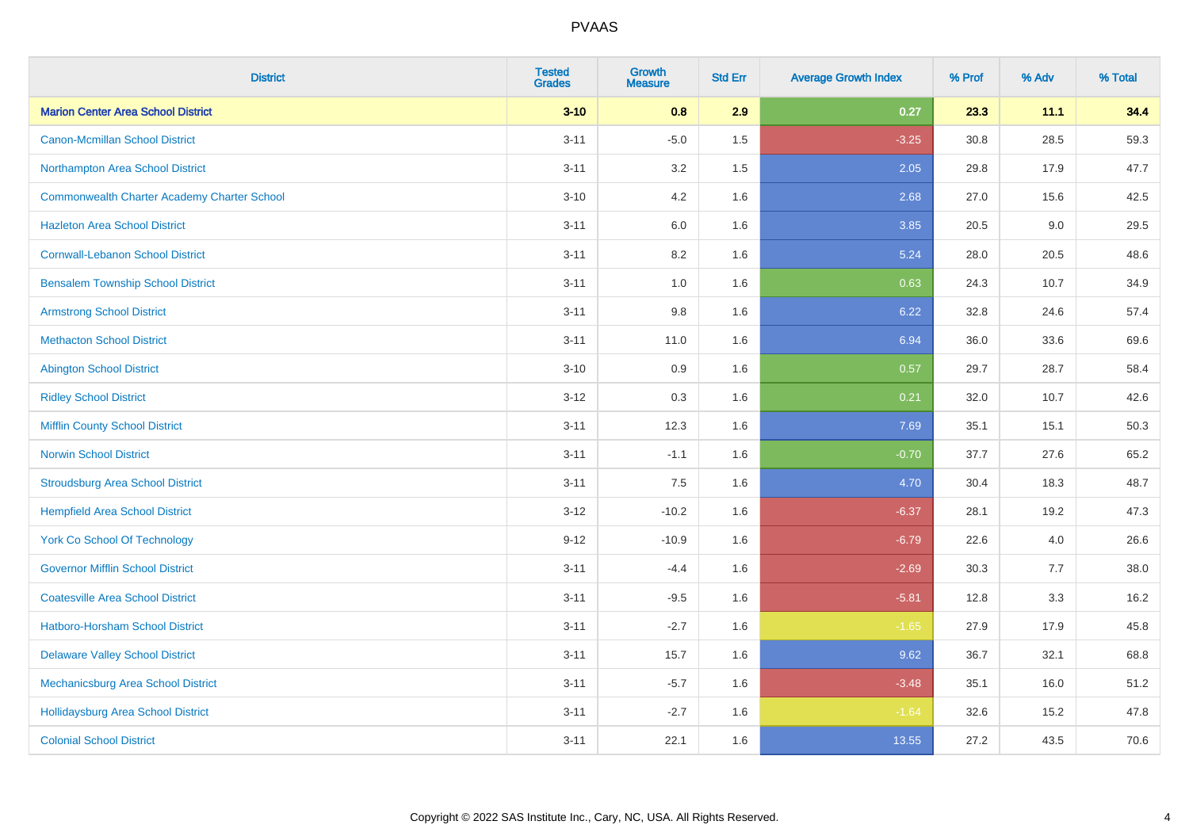| <b>District</b>                                    | <b>Tested</b><br><b>Grades</b> | <b>Growth</b><br><b>Measure</b> | <b>Std Err</b> | <b>Average Growth Index</b> | % Prof | % Adv | % Total |
|----------------------------------------------------|--------------------------------|---------------------------------|----------------|-----------------------------|--------|-------|---------|
| <b>Marion Center Area School District</b>          | $3 - 10$                       | 0.8                             | 2.9            | 0.27                        | 23.3   | 11.1  | 34.4    |
| <b>Canon-Mcmillan School District</b>              | $3 - 11$                       | $-5.0$                          | $1.5\,$        | $-3.25$                     | 30.8   | 28.5  | 59.3    |
| Northampton Area School District                   | $3 - 11$                       | 3.2                             | 1.5            | 2.05                        | 29.8   | 17.9  | 47.7    |
| <b>Commonwealth Charter Academy Charter School</b> | $3 - 10$                       | 4.2                             | 1.6            | 2.68                        | 27.0   | 15.6  | 42.5    |
| <b>Hazleton Area School District</b>               | $3 - 11$                       | 6.0                             | 1.6            | 3.85                        | 20.5   | 9.0   | 29.5    |
| <b>Cornwall-Lebanon School District</b>            | $3 - 11$                       | 8.2                             | 1.6            | 5.24                        | 28.0   | 20.5  | 48.6    |
| <b>Bensalem Township School District</b>           | $3 - 11$                       | 1.0                             | 1.6            | 0.63                        | 24.3   | 10.7  | 34.9    |
| <b>Armstrong School District</b>                   | $3 - 11$                       | 9.8                             | 1.6            | 6.22                        | 32.8   | 24.6  | 57.4    |
| <b>Methacton School District</b>                   | $3 - 11$                       | 11.0                            | 1.6            | 6.94                        | 36.0   | 33.6  | 69.6    |
| <b>Abington School District</b>                    | $3 - 10$                       | 0.9                             | 1.6            | 0.57                        | 29.7   | 28.7  | 58.4    |
| <b>Ridley School District</b>                      | $3 - 12$                       | 0.3                             | 1.6            | 0.21                        | 32.0   | 10.7  | 42.6    |
| <b>Mifflin County School District</b>              | $3 - 11$                       | 12.3                            | 1.6            | 7.69                        | 35.1   | 15.1  | 50.3    |
| <b>Norwin School District</b>                      | $3 - 11$                       | $-1.1$                          | 1.6            | $-0.70$                     | 37.7   | 27.6  | 65.2    |
| <b>Stroudsburg Area School District</b>            | $3 - 11$                       | 7.5                             | 1.6            | 4.70                        | 30.4   | 18.3  | 48.7    |
| <b>Hempfield Area School District</b>              | $3 - 12$                       | $-10.2$                         | 1.6            | $-6.37$                     | 28.1   | 19.2  | 47.3    |
| <b>York Co School Of Technology</b>                | $9 - 12$                       | $-10.9$                         | 1.6            | $-6.79$                     | 22.6   | 4.0   | 26.6    |
| <b>Governor Mifflin School District</b>            | $3 - 11$                       | $-4.4$                          | 1.6            | $-2.69$                     | 30.3   | 7.7   | 38.0    |
| <b>Coatesville Area School District</b>            | $3 - 11$                       | $-9.5$                          | 1.6            | $-5.81$                     | 12.8   | 3.3   | 16.2    |
| <b>Hatboro-Horsham School District</b>             | $3 - 11$                       | $-2.7$                          | 1.6            | $-1.65$                     | 27.9   | 17.9  | 45.8    |
| <b>Delaware Valley School District</b>             | $3 - 11$                       | 15.7                            | 1.6            | 9.62                        | 36.7   | 32.1  | 68.8    |
| Mechanicsburg Area School District                 | $3 - 11$                       | $-5.7$                          | 1.6            | $-3.48$                     | 35.1   | 16.0  | 51.2    |
| <b>Hollidaysburg Area School District</b>          | $3 - 11$                       | $-2.7$                          | 1.6            | $-1.64$                     | 32.6   | 15.2  | 47.8    |
| <b>Colonial School District</b>                    | $3 - 11$                       | 22.1                            | 1.6            | 13.55                       | 27.2   | 43.5  | 70.6    |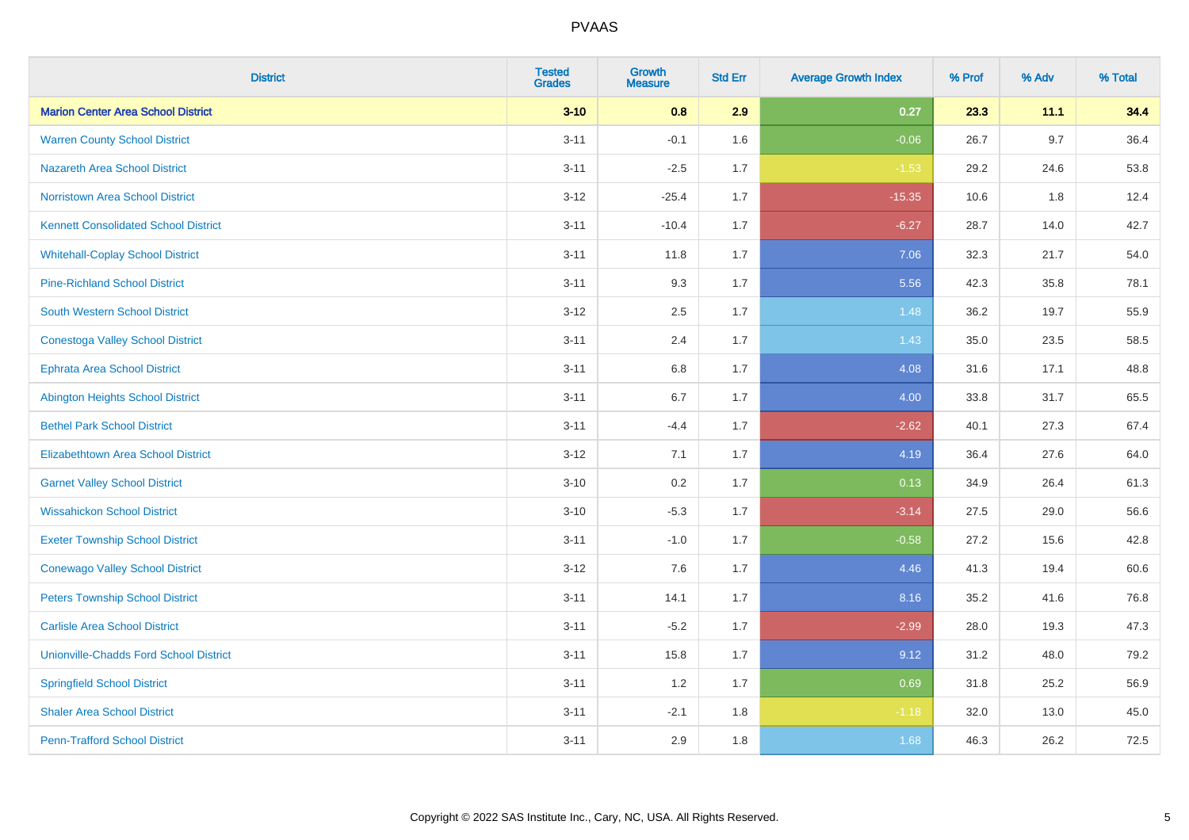| <b>District</b>                               | <b>Tested</b><br><b>Grades</b> | <b>Growth</b><br><b>Measure</b> | <b>Std Err</b> | <b>Average Growth Index</b> | % Prof | % Adv | % Total |
|-----------------------------------------------|--------------------------------|---------------------------------|----------------|-----------------------------|--------|-------|---------|
| <b>Marion Center Area School District</b>     | $3 - 10$                       | 0.8                             | 2.9            | 0.27                        | 23.3   | 11.1  | 34.4    |
| <b>Warren County School District</b>          | $3 - 11$                       | $-0.1$                          | 1.6            | $-0.06$                     | 26.7   | 9.7   | 36.4    |
| <b>Nazareth Area School District</b>          | $3 - 11$                       | $-2.5$                          | 1.7            | $-1.53$                     | 29.2   | 24.6  | 53.8    |
| <b>Norristown Area School District</b>        | $3 - 12$                       | $-25.4$                         | 1.7            | $-15.35$                    | 10.6   | 1.8   | 12.4    |
| <b>Kennett Consolidated School District</b>   | $3 - 11$                       | $-10.4$                         | 1.7            | $-6.27$                     | 28.7   | 14.0  | 42.7    |
| <b>Whitehall-Coplay School District</b>       | $3 - 11$                       | 11.8                            | 1.7            | 7.06                        | 32.3   | 21.7  | 54.0    |
| <b>Pine-Richland School District</b>          | $3 - 11$                       | 9.3                             | 1.7            | 5.56                        | 42.3   | 35.8  | 78.1    |
| <b>South Western School District</b>          | $3 - 12$                       | 2.5                             | 1.7            | 1.48                        | 36.2   | 19.7  | 55.9    |
| <b>Conestoga Valley School District</b>       | $3 - 11$                       | 2.4                             | 1.7            | 1.43                        | 35.0   | 23.5  | 58.5    |
| <b>Ephrata Area School District</b>           | $3 - 11$                       | 6.8                             | 1.7            | 4.08                        | 31.6   | 17.1  | 48.8    |
| Abington Heights School District              | $3 - 11$                       | 6.7                             | 1.7            | 4.00                        | 33.8   | 31.7  | 65.5    |
| <b>Bethel Park School District</b>            | $3 - 11$                       | $-4.4$                          | 1.7            | $-2.62$                     | 40.1   | 27.3  | 67.4    |
| <b>Elizabethtown Area School District</b>     | $3-12$                         | 7.1                             | 1.7            | 4.19                        | 36.4   | 27.6  | 64.0    |
| <b>Garnet Valley School District</b>          | $3 - 10$                       | 0.2                             | 1.7            | 0.13                        | 34.9   | 26.4  | 61.3    |
| <b>Wissahickon School District</b>            | $3 - 10$                       | $-5.3$                          | 1.7            | $-3.14$                     | 27.5   | 29.0  | 56.6    |
| <b>Exeter Township School District</b>        | $3 - 11$                       | $-1.0$                          | 1.7            | $-0.58$                     | 27.2   | 15.6  | 42.8    |
| <b>Conewago Valley School District</b>        | $3-12$                         | 7.6                             | 1.7            | 4.46                        | 41.3   | 19.4  | 60.6    |
| <b>Peters Township School District</b>        | $3 - 11$                       | 14.1                            | 1.7            | 8.16                        | 35.2   | 41.6  | 76.8    |
| <b>Carlisle Area School District</b>          | $3 - 11$                       | $-5.2$                          | 1.7            | $-2.99$                     | 28.0   | 19.3  | 47.3    |
| <b>Unionville-Chadds Ford School District</b> | $3 - 11$                       | 15.8                            | 1.7            | 9.12                        | 31.2   | 48.0  | 79.2    |
| <b>Springfield School District</b>            | $3 - 11$                       | 1.2                             | 1.7            | 0.69                        | 31.8   | 25.2  | 56.9    |
| <b>Shaler Area School District</b>            | $3 - 11$                       | $-2.1$                          | 1.8            | $-1.18$                     | 32.0   | 13.0  | 45.0    |
| <b>Penn-Trafford School District</b>          | $3 - 11$                       | 2.9                             | 1.8            | 1.68                        | 46.3   | 26.2  | 72.5    |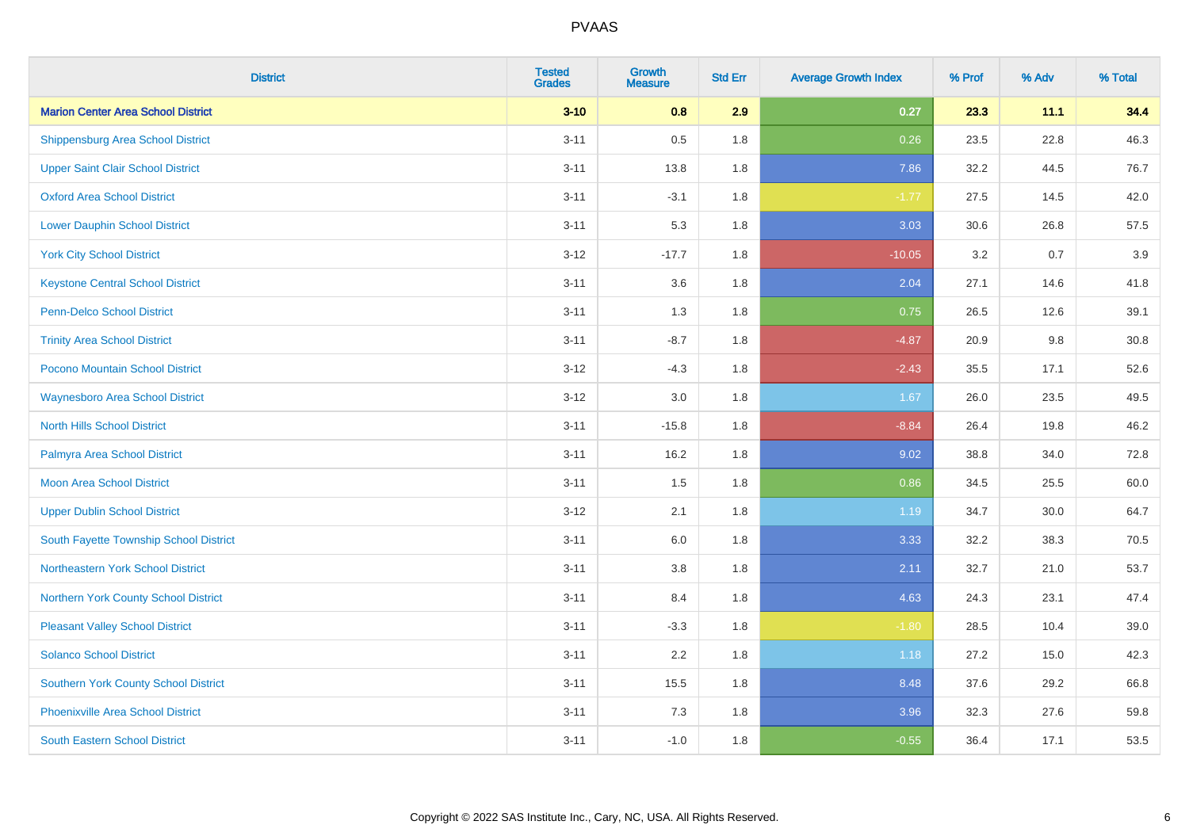| <b>District</b>                             | <b>Tested</b><br><b>Grades</b> | <b>Growth</b><br><b>Measure</b> | <b>Std Err</b> | <b>Average Growth Index</b> | % Prof | % Adv | % Total |
|---------------------------------------------|--------------------------------|---------------------------------|----------------|-----------------------------|--------|-------|---------|
| <b>Marion Center Area School District</b>   | $3 - 10$                       | 0.8                             | 2.9            | 0.27                        | 23.3   | 11.1  | 34.4    |
| <b>Shippensburg Area School District</b>    | $3 - 11$                       | $0.5\,$                         | 1.8            | 0.26                        | 23.5   | 22.8  | 46.3    |
| <b>Upper Saint Clair School District</b>    | $3 - 11$                       | 13.8                            | 1.8            | 7.86                        | 32.2   | 44.5  | 76.7    |
| <b>Oxford Area School District</b>          | $3 - 11$                       | $-3.1$                          | 1.8            | $-1.77$                     | 27.5   | 14.5  | 42.0    |
| <b>Lower Dauphin School District</b>        | $3 - 11$                       | 5.3                             | 1.8            | 3.03                        | 30.6   | 26.8  | 57.5    |
| <b>York City School District</b>            | $3 - 12$                       | $-17.7$                         | 1.8            | $-10.05$                    | 3.2    | 0.7   | 3.9     |
| <b>Keystone Central School District</b>     | $3 - 11$                       | 3.6                             | 1.8            | 2.04                        | 27.1   | 14.6  | 41.8    |
| <b>Penn-Delco School District</b>           | $3 - 11$                       | 1.3                             | 1.8            | 0.75                        | 26.5   | 12.6  | 39.1    |
| <b>Trinity Area School District</b>         | $3 - 11$                       | $-8.7$                          | 1.8            | $-4.87$                     | 20.9   | 9.8   | 30.8    |
| Pocono Mountain School District             | $3 - 12$                       | $-4.3$                          | 1.8            | $-2.43$                     | 35.5   | 17.1  | 52.6    |
| <b>Waynesboro Area School District</b>      | $3 - 12$                       | 3.0                             | 1.8            | 1.67                        | 26.0   | 23.5  | 49.5    |
| <b>North Hills School District</b>          | $3 - 11$                       | $-15.8$                         | 1.8            | $-8.84$                     | 26.4   | 19.8  | 46.2    |
| Palmyra Area School District                | $3 - 11$                       | 16.2                            | 1.8            | 9.02                        | 38.8   | 34.0  | 72.8    |
| <b>Moon Area School District</b>            | $3 - 11$                       | 1.5                             | 1.8            | 0.86                        | 34.5   | 25.5  | 60.0    |
| <b>Upper Dublin School District</b>         | $3 - 12$                       | 2.1                             | 1.8            | 1.19                        | 34.7   | 30.0  | 64.7    |
| South Fayette Township School District      | $3 - 11$                       | 6.0                             | 1.8            | 3.33                        | 32.2   | 38.3  | 70.5    |
| Northeastern York School District           | $3 - 11$                       | $3.8\,$                         | 1.8            | 2.11                        | 32.7   | 21.0  | 53.7    |
| Northern York County School District        | $3 - 11$                       | 8.4                             | 1.8            | 4.63                        | 24.3   | 23.1  | 47.4    |
| <b>Pleasant Valley School District</b>      | $3 - 11$                       | $-3.3$                          | 1.8            | $-1.80$                     | 28.5   | 10.4  | 39.0    |
| <b>Solanco School District</b>              | $3 - 11$                       | 2.2                             | 1.8            | 1.18                        | 27.2   | 15.0  | 42.3    |
| <b>Southern York County School District</b> | $3 - 11$                       | 15.5                            | 1.8            | 8.48                        | 37.6   | 29.2  | 66.8    |
| Phoenixville Area School District           | $3 - 11$                       | 7.3                             | 1.8            | 3.96                        | 32.3   | 27.6  | 59.8    |
| <b>South Eastern School District</b>        | $3 - 11$                       | $-1.0$                          | 1.8            | $-0.55$                     | 36.4   | 17.1  | 53.5    |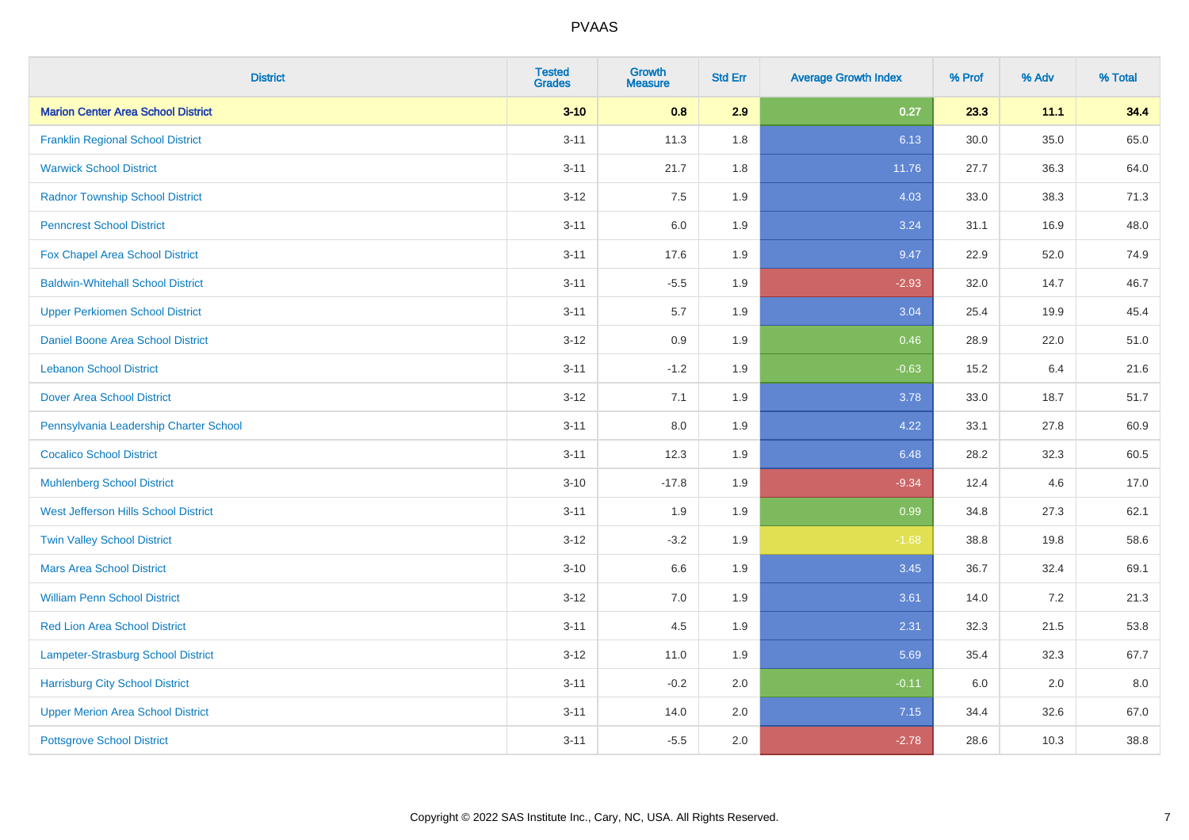| <b>District</b>                           | <b>Tested</b><br><b>Grades</b> | Growth<br><b>Measure</b> | <b>Std Err</b> | <b>Average Growth Index</b> | % Prof | % Adv | % Total |
|-------------------------------------------|--------------------------------|--------------------------|----------------|-----------------------------|--------|-------|---------|
| <b>Marion Center Area School District</b> | $3 - 10$                       | 0.8                      | 2.9            | 0.27                        | 23.3   | 11.1  | 34.4    |
| <b>Franklin Regional School District</b>  | $3 - 11$                       | 11.3                     | 1.8            | 6.13                        | 30.0   | 35.0  | 65.0    |
| <b>Warwick School District</b>            | $3 - 11$                       | 21.7                     | 1.8            | 11.76                       | 27.7   | 36.3  | 64.0    |
| <b>Radnor Township School District</b>    | $3 - 12$                       | 7.5                      | 1.9            | 4.03                        | 33.0   | 38.3  | 71.3    |
| <b>Penncrest School District</b>          | $3 - 11$                       | 6.0                      | 1.9            | 3.24                        | 31.1   | 16.9  | 48.0    |
| Fox Chapel Area School District           | $3 - 11$                       | 17.6                     | 1.9            | 9.47                        | 22.9   | 52.0  | 74.9    |
| <b>Baldwin-Whitehall School District</b>  | $3 - 11$                       | $-5.5$                   | 1.9            | $-2.93$                     | 32.0   | 14.7  | 46.7    |
| <b>Upper Perkiomen School District</b>    | $3 - 11$                       | 5.7                      | 1.9            | 3.04                        | 25.4   | 19.9  | 45.4    |
| <b>Daniel Boone Area School District</b>  | $3 - 12$                       | 0.9                      | 1.9            | 0.46                        | 28.9   | 22.0  | 51.0    |
| <b>Lebanon School District</b>            | $3 - 11$                       | $-1.2$                   | 1.9            | $-0.63$                     | 15.2   | 6.4   | 21.6    |
| <b>Dover Area School District</b>         | $3-12$                         | 7.1                      | 1.9            | 3.78                        | 33.0   | 18.7  | 51.7    |
| Pennsylvania Leadership Charter School    | $3 - 11$                       | 8.0                      | 1.9            | 4.22                        | 33.1   | 27.8  | 60.9    |
| <b>Cocalico School District</b>           | $3 - 11$                       | 12.3                     | 1.9            | 6.48                        | 28.2   | 32.3  | 60.5    |
| <b>Muhlenberg School District</b>         | $3 - 10$                       | $-17.8$                  | 1.9            | $-9.34$                     | 12.4   | 4.6   | 17.0    |
| West Jefferson Hills School District      | $3 - 11$                       | 1.9                      | 1.9            | 0.99                        | 34.8   | 27.3  | 62.1    |
| <b>Twin Valley School District</b>        | $3-12$                         | $-3.2$                   | 1.9            | $-1.68$                     | 38.8   | 19.8  | 58.6    |
| <b>Mars Area School District</b>          | $3 - 10$                       | 6.6                      | 1.9            | 3.45                        | 36.7   | 32.4  | 69.1    |
| <b>William Penn School District</b>       | $3-12$                         | 7.0                      | 1.9            | 3.61                        | 14.0   | 7.2   | 21.3    |
| <b>Red Lion Area School District</b>      | $3 - 11$                       | 4.5                      | 1.9            | 2.31                        | 32.3   | 21.5  | 53.8    |
| Lampeter-Strasburg School District        | $3 - 12$                       | 11.0                     | 1.9            | 5.69                        | 35.4   | 32.3  | 67.7    |
| <b>Harrisburg City School District</b>    | $3 - 11$                       | $-0.2$                   | 2.0            | $-0.11$                     | 6.0    | 2.0   | 8.0     |
| <b>Upper Merion Area School District</b>  | $3 - 11$                       | 14.0                     | 2.0            | 7.15                        | 34.4   | 32.6  | 67.0    |
| <b>Pottsgrove School District</b>         | $3 - 11$                       | $-5.5$                   | 2.0            | $-2.78$                     | 28.6   | 10.3  | 38.8    |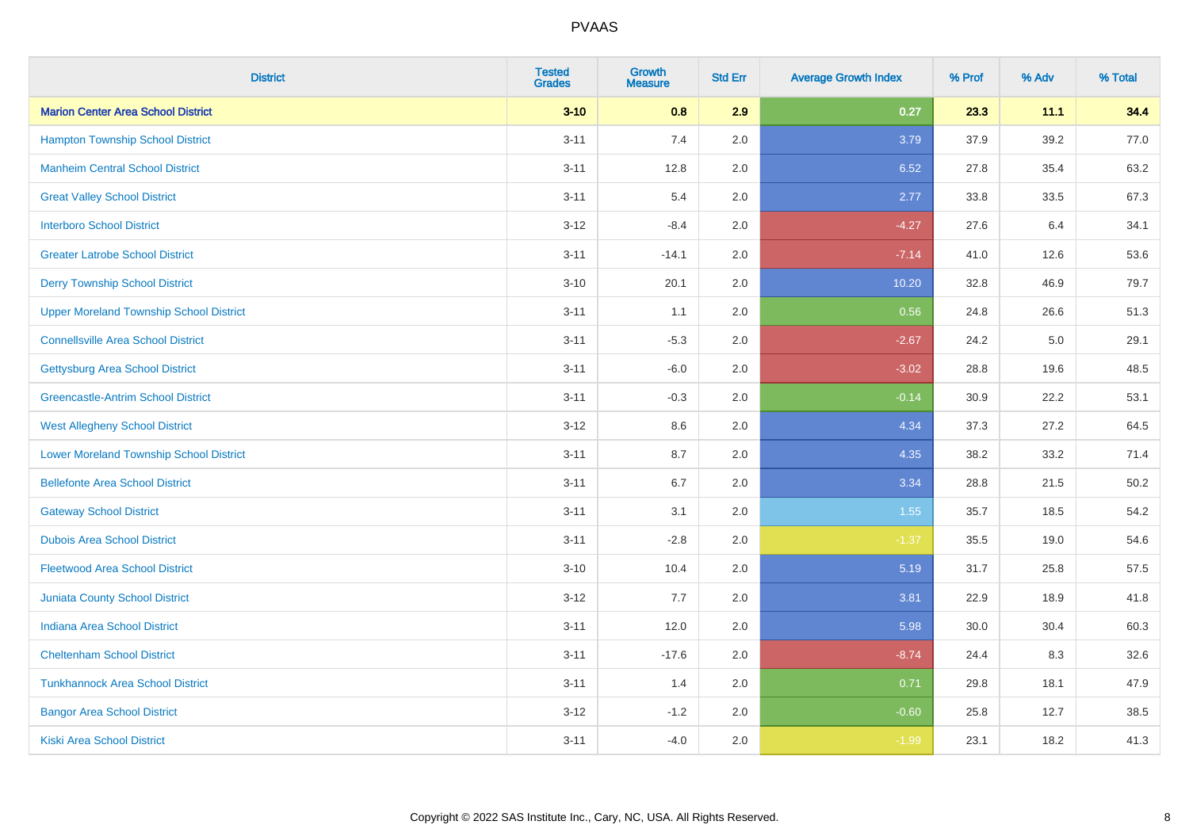| <b>District</b>                                | <b>Tested</b><br><b>Grades</b> | <b>Growth</b><br><b>Measure</b> | <b>Std Err</b> | <b>Average Growth Index</b> | % Prof | % Adv | % Total |
|------------------------------------------------|--------------------------------|---------------------------------|----------------|-----------------------------|--------|-------|---------|
| <b>Marion Center Area School District</b>      | $3 - 10$                       | 0.8                             | 2.9            | 0.27                        | 23.3   | 11.1  | 34.4    |
| <b>Hampton Township School District</b>        | $3 - 11$                       | $7.4$                           | 2.0            | 3.79                        | 37.9   | 39.2  | 77.0    |
| <b>Manheim Central School District</b>         | $3 - 11$                       | 12.8                            | 2.0            | 6.52                        | 27.8   | 35.4  | 63.2    |
| <b>Great Valley School District</b>            | $3 - 11$                       | 5.4                             | 2.0            | 2.77                        | 33.8   | 33.5  | 67.3    |
| <b>Interboro School District</b>               | $3 - 12$                       | $-8.4$                          | 2.0            | $-4.27$                     | 27.6   | 6.4   | 34.1    |
| <b>Greater Latrobe School District</b>         | $3 - 11$                       | $-14.1$                         | 2.0            | $-7.14$                     | 41.0   | 12.6  | 53.6    |
| <b>Derry Township School District</b>          | $3 - 10$                       | 20.1                            | 2.0            | 10.20                       | 32.8   | 46.9  | 79.7    |
| <b>Upper Moreland Township School District</b> | $3 - 11$                       | 1.1                             | 2.0            | 0.56                        | 24.8   | 26.6  | 51.3    |
| <b>Connellsville Area School District</b>      | $3 - 11$                       | $-5.3$                          | 2.0            | $-2.67$                     | 24.2   | 5.0   | 29.1    |
| <b>Gettysburg Area School District</b>         | $3 - 11$                       | $-6.0$                          | 2.0            | $-3.02$                     | 28.8   | 19.6  | 48.5    |
| <b>Greencastle-Antrim School District</b>      | $3 - 11$                       | $-0.3$                          | 2.0            | $-0.14$                     | 30.9   | 22.2  | 53.1    |
| <b>West Allegheny School District</b>          | $3 - 12$                       | 8.6                             | 2.0            | 4.34                        | 37.3   | 27.2  | 64.5    |
| <b>Lower Moreland Township School District</b> | $3 - 11$                       | 8.7                             | 2.0            | 4.35                        | 38.2   | 33.2  | 71.4    |
| <b>Bellefonte Area School District</b>         | $3 - 11$                       | 6.7                             | 2.0            | 3.34                        | 28.8   | 21.5  | 50.2    |
| <b>Gateway School District</b>                 | $3 - 11$                       | 3.1                             | 2.0            | 1.55                        | 35.7   | 18.5  | 54.2    |
| <b>Dubois Area School District</b>             | $3 - 11$                       | $-2.8$                          | 2.0            | $-1.37$                     | 35.5   | 19.0  | 54.6    |
| <b>Fleetwood Area School District</b>          | $3 - 10$                       | 10.4                            | 2.0            | 5.19                        | 31.7   | 25.8  | 57.5    |
| <b>Juniata County School District</b>          | $3 - 12$                       | 7.7                             | 2.0            | 3.81                        | 22.9   | 18.9  | 41.8    |
| <b>Indiana Area School District</b>            | $3 - 11$                       | 12.0                            | 2.0            | 5.98                        | 30.0   | 30.4  | 60.3    |
| <b>Cheltenham School District</b>              | $3 - 11$                       | $-17.6$                         | 2.0            | $-8.74$                     | 24.4   | 8.3   | 32.6    |
| <b>Tunkhannock Area School District</b>        | $3 - 11$                       | 1.4                             | 2.0            | 0.71                        | 29.8   | 18.1  | 47.9    |
| <b>Bangor Area School District</b>             | $3 - 12$                       | $-1.2$                          | 2.0            | $-0.60$                     | 25.8   | 12.7  | 38.5    |
| <b>Kiski Area School District</b>              | $3 - 11$                       | $-4.0$                          | 2.0            | $-1.99$                     | 23.1   | 18.2  | 41.3    |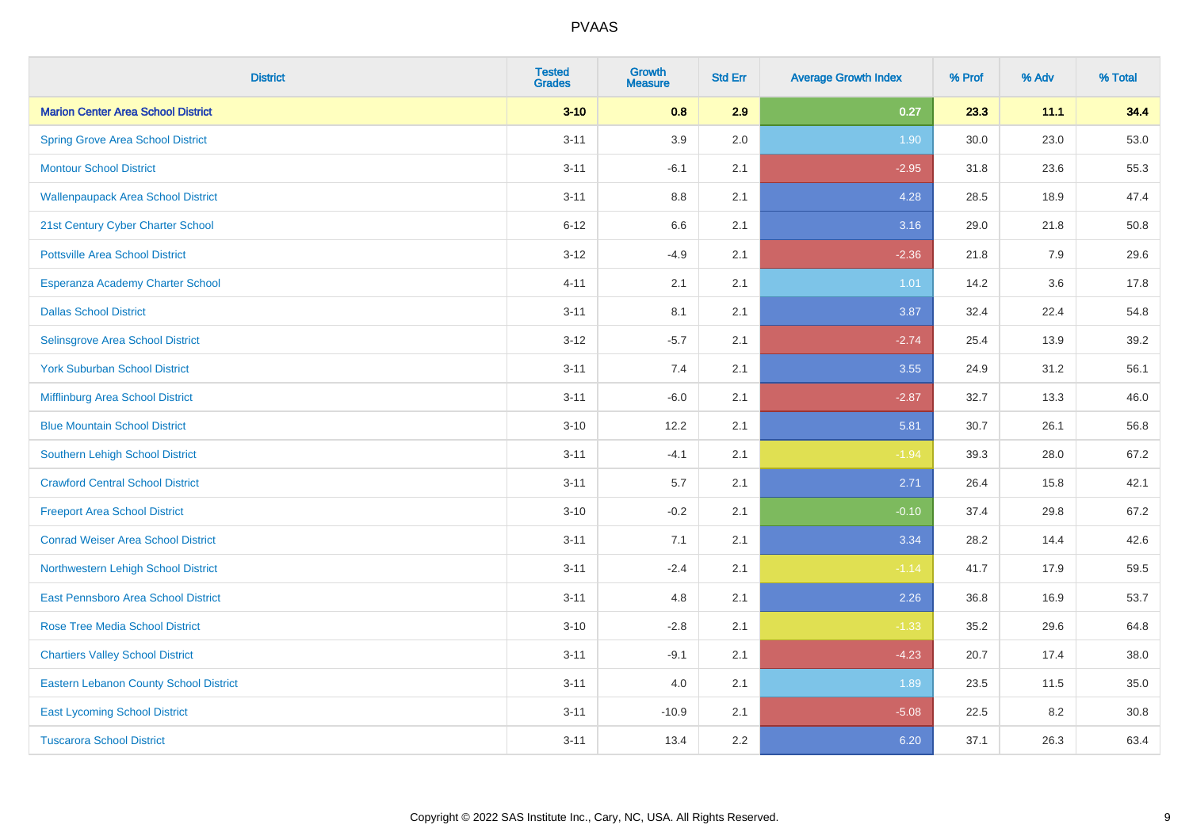| <b>District</b>                               | <b>Tested</b><br><b>Grades</b> | <b>Growth</b><br><b>Measure</b> | <b>Std Err</b> | <b>Average Growth Index</b> | % Prof | % Adv | % Total |
|-----------------------------------------------|--------------------------------|---------------------------------|----------------|-----------------------------|--------|-------|---------|
| <b>Marion Center Area School District</b>     | $3 - 10$                       | 0.8                             | 2.9            | 0.27                        | 23.3   | 11.1  | 34.4    |
| <b>Spring Grove Area School District</b>      | $3 - 11$                       | 3.9                             | 2.0            | 1.90                        | 30.0   | 23.0  | 53.0    |
| <b>Montour School District</b>                | $3 - 11$                       | $-6.1$                          | 2.1            | $-2.95$                     | 31.8   | 23.6  | 55.3    |
| <b>Wallenpaupack Area School District</b>     | $3 - 11$                       | $8.8\,$                         | 2.1            | 4.28                        | 28.5   | 18.9  | 47.4    |
| 21st Century Cyber Charter School             | $6 - 12$                       | 6.6                             | 2.1            | 3.16                        | 29.0   | 21.8  | 50.8    |
| <b>Pottsville Area School District</b>        | $3 - 12$                       | $-4.9$                          | 2.1            | $-2.36$                     | 21.8   | 7.9   | 29.6    |
| Esperanza Academy Charter School              | $4 - 11$                       | 2.1                             | 2.1            | 1.01                        | 14.2   | 3.6   | 17.8    |
| <b>Dallas School District</b>                 | $3 - 11$                       | 8.1                             | 2.1            | 3.87                        | 32.4   | 22.4  | 54.8    |
| Selinsgrove Area School District              | $3 - 12$                       | $-5.7$                          | 2.1            | $-2.74$                     | 25.4   | 13.9  | 39.2    |
| <b>York Suburban School District</b>          | $3 - 11$                       | 7.4                             | 2.1            | 3.55                        | 24.9   | 31.2  | 56.1    |
| Mifflinburg Area School District              | $3 - 11$                       | $-6.0$                          | 2.1            | $-2.87$                     | 32.7   | 13.3  | 46.0    |
| <b>Blue Mountain School District</b>          | $3 - 10$                       | 12.2                            | 2.1            | 5.81                        | 30.7   | 26.1  | 56.8    |
| Southern Lehigh School District               | $3 - 11$                       | $-4.1$                          | 2.1            | $-1.94$                     | 39.3   | 28.0  | 67.2    |
| <b>Crawford Central School District</b>       | $3 - 11$                       | 5.7                             | 2.1            | 2.71                        | 26.4   | 15.8  | 42.1    |
| <b>Freeport Area School District</b>          | $3 - 10$                       | $-0.2$                          | 2.1            | $-0.10$                     | 37.4   | 29.8  | 67.2    |
| <b>Conrad Weiser Area School District</b>     | $3 - 11$                       | 7.1                             | 2.1            | 3.34                        | 28.2   | 14.4  | 42.6    |
| Northwestern Lehigh School District           | $3 - 11$                       | $-2.4$                          | 2.1            | $-1.14$                     | 41.7   | 17.9  | 59.5    |
| <b>East Pennsboro Area School District</b>    | $3 - 11$                       | 4.8                             | 2.1            | 2.26                        | 36.8   | 16.9  | 53.7    |
| <b>Rose Tree Media School District</b>        | $3 - 10$                       | $-2.8$                          | 2.1            | $-1.33$                     | 35.2   | 29.6  | 64.8    |
| <b>Chartiers Valley School District</b>       | $3 - 11$                       | $-9.1$                          | 2.1            | $-4.23$                     | 20.7   | 17.4  | 38.0    |
| <b>Eastern Lebanon County School District</b> | $3 - 11$                       | 4.0                             | 2.1            | 1.89                        | 23.5   | 11.5  | 35.0    |
| <b>East Lycoming School District</b>          | $3 - 11$                       | $-10.9$                         | 2.1            | $-5.08$                     | 22.5   | 8.2   | 30.8    |
| <b>Tuscarora School District</b>              | $3 - 11$                       | 13.4                            | 2.2            | 6.20                        | 37.1   | 26.3  | 63.4    |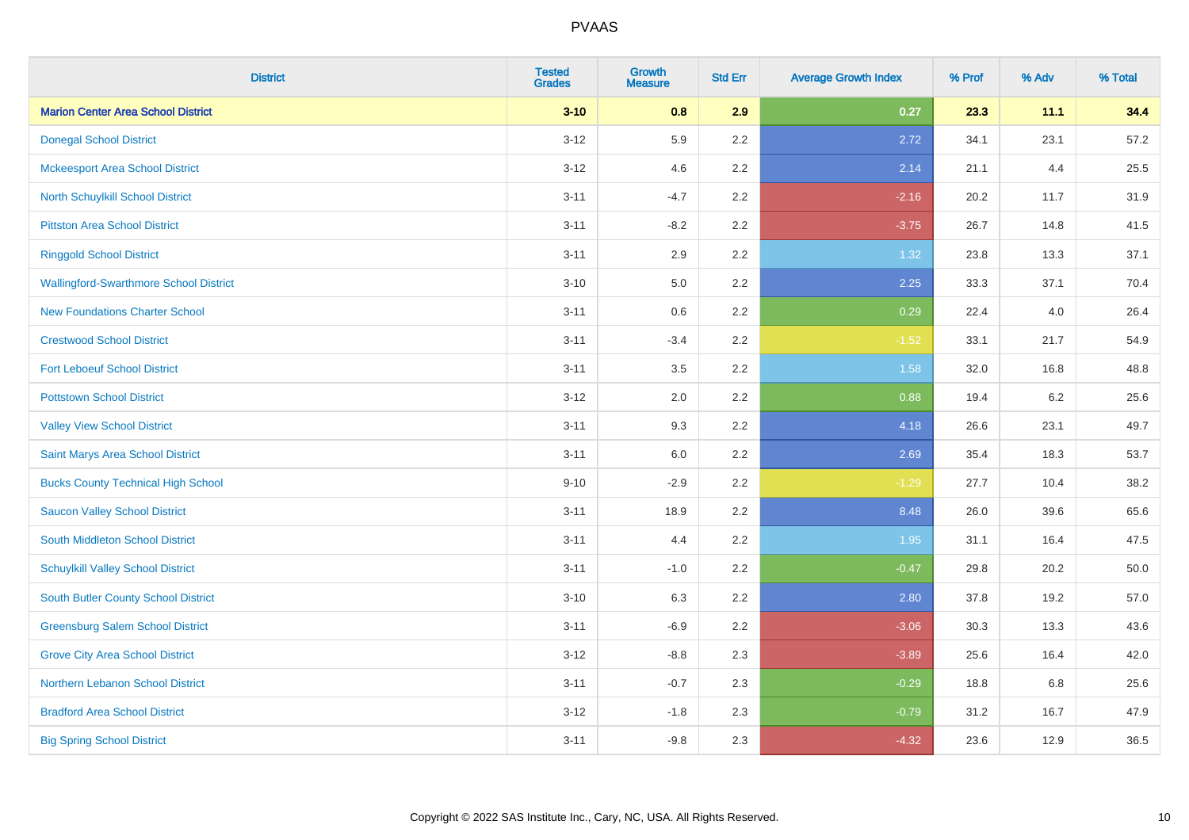| <b>District</b>                               | <b>Tested</b><br><b>Grades</b> | <b>Growth</b><br><b>Measure</b> | <b>Std Err</b> | <b>Average Growth Index</b> | % Prof | % Adv | % Total |
|-----------------------------------------------|--------------------------------|---------------------------------|----------------|-----------------------------|--------|-------|---------|
| <b>Marion Center Area School District</b>     | $3 - 10$                       | 0.8                             | 2.9            | 0.27                        | 23.3   | 11.1  | 34.4    |
| <b>Donegal School District</b>                | $3 - 12$                       | 5.9                             | $2.2\,$        | 2.72                        | 34.1   | 23.1  | 57.2    |
| <b>Mckeesport Area School District</b>        | $3 - 12$                       | 4.6                             | 2.2            | 2.14                        | 21.1   | 4.4   | 25.5    |
| North Schuylkill School District              | $3 - 11$                       | $-4.7$                          | 2.2            | $-2.16$                     | 20.2   | 11.7  | 31.9    |
| <b>Pittston Area School District</b>          | $3 - 11$                       | $-8.2$                          | 2.2            | $-3.75$                     | 26.7   | 14.8  | 41.5    |
| <b>Ringgold School District</b>               | $3 - 11$                       | 2.9                             | 2.2            | 1.32                        | 23.8   | 13.3  | 37.1    |
| <b>Wallingford-Swarthmore School District</b> | $3 - 10$                       | 5.0                             | 2.2            | 2.25                        | 33.3   | 37.1  | 70.4    |
| <b>New Foundations Charter School</b>         | $3 - 11$                       | 0.6                             | 2.2            | 0.29                        | 22.4   | 4.0   | 26.4    |
| <b>Crestwood School District</b>              | $3 - 11$                       | $-3.4$                          | 2.2            | $-1.52$                     | 33.1   | 21.7  | 54.9    |
| <b>Fort Leboeuf School District</b>           | $3 - 11$                       | 3.5                             | $2.2\,$        | 1.58                        | 32.0   | 16.8  | 48.8    |
| <b>Pottstown School District</b>              | $3 - 12$                       | 2.0                             | 2.2            | 0.88                        | 19.4   | 6.2   | 25.6    |
| <b>Valley View School District</b>            | $3 - 11$                       | 9.3                             | 2.2            | 4.18                        | 26.6   | 23.1  | 49.7    |
| Saint Marys Area School District              | $3 - 11$                       | $6.0\,$                         | 2.2            | 2.69                        | 35.4   | 18.3  | 53.7    |
| <b>Bucks County Technical High School</b>     | $9 - 10$                       | $-2.9$                          | 2.2            | $-1.29$                     | 27.7   | 10.4  | 38.2    |
| <b>Saucon Valley School District</b>          | $3 - 11$                       | 18.9                            | 2.2            | 8.48                        | 26.0   | 39.6  | 65.6    |
| South Middleton School District               | $3 - 11$                       | 4.4                             | 2.2            | 1.95                        | 31.1   | 16.4  | 47.5    |
| <b>Schuylkill Valley School District</b>      | $3 - 11$                       | $-1.0$                          | 2.2            | $-0.47$                     | 29.8   | 20.2  | 50.0    |
| <b>South Butler County School District</b>    | $3 - 10$                       | 6.3                             | 2.2            | 2.80                        | 37.8   | 19.2  | 57.0    |
| <b>Greensburg Salem School District</b>       | $3 - 11$                       | $-6.9$                          | 2.2            | $-3.06$                     | 30.3   | 13.3  | 43.6    |
| <b>Grove City Area School District</b>        | $3 - 12$                       | $-8.8$                          | 2.3            | $-3.89$                     | 25.6   | 16.4  | 42.0    |
| Northern Lebanon School District              | $3 - 11$                       | $-0.7$                          | 2.3            | $-0.29$                     | 18.8   | 6.8   | 25.6    |
| <b>Bradford Area School District</b>          | $3-12$                         | $-1.8$                          | 2.3            | $-0.79$                     | 31.2   | 16.7  | 47.9    |
| <b>Big Spring School District</b>             | $3 - 11$                       | $-9.8$                          | 2.3            | $-4.32$                     | 23.6   | 12.9  | 36.5    |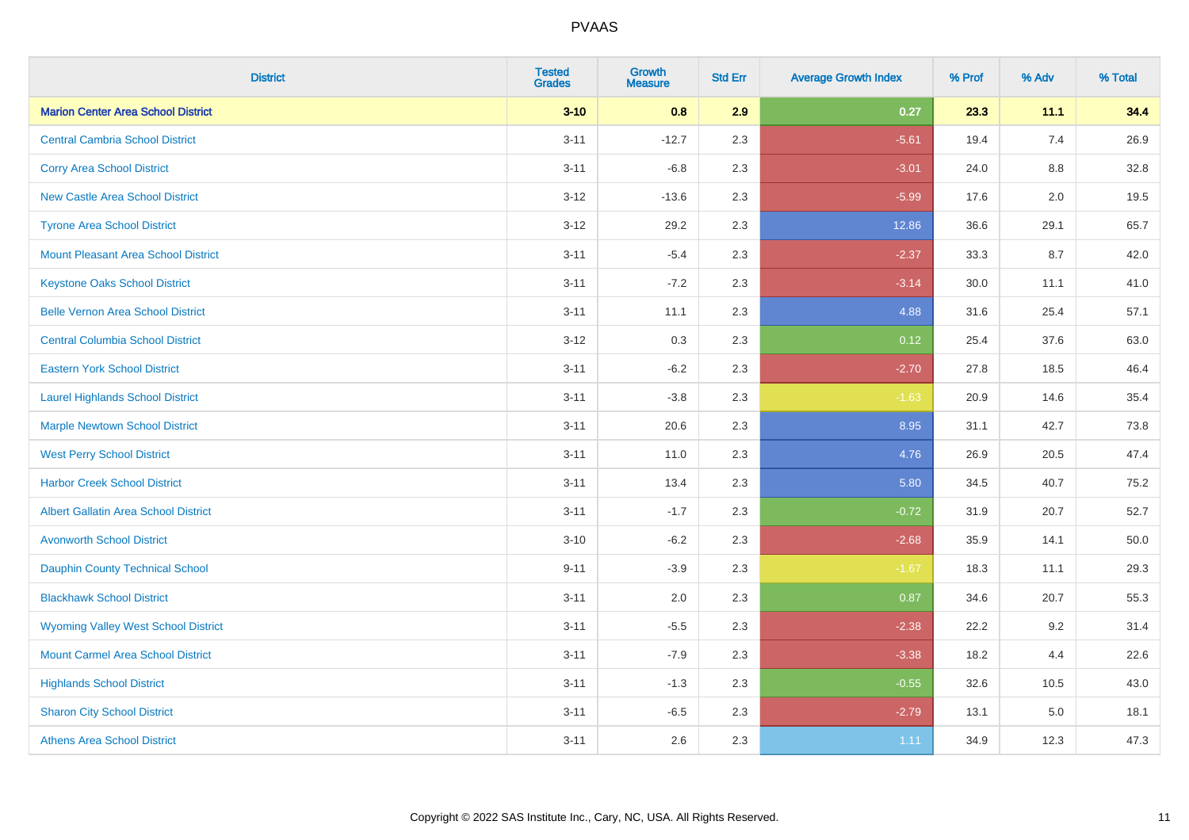| <b>District</b>                             | <b>Tested</b><br><b>Grades</b> | <b>Growth</b><br><b>Measure</b> | <b>Std Err</b> | <b>Average Growth Index</b> | % Prof | % Adv   | % Total |
|---------------------------------------------|--------------------------------|---------------------------------|----------------|-----------------------------|--------|---------|---------|
| <b>Marion Center Area School District</b>   | $3 - 10$                       | 0.8                             | 2.9            | 0.27                        | 23.3   | 11.1    | 34.4    |
| <b>Central Cambria School District</b>      | $3 - 11$                       | $-12.7$                         | 2.3            | $-5.61$                     | 19.4   | 7.4     | 26.9    |
| <b>Corry Area School District</b>           | $3 - 11$                       | $-6.8$                          | 2.3            | $-3.01$                     | 24.0   | $8.8\,$ | 32.8    |
| <b>New Castle Area School District</b>      | $3 - 12$                       | $-13.6$                         | 2.3            | $-5.99$                     | 17.6   | 2.0     | 19.5    |
| <b>Tyrone Area School District</b>          | $3 - 12$                       | 29.2                            | 2.3            | 12.86                       | 36.6   | 29.1    | 65.7    |
| <b>Mount Pleasant Area School District</b>  | $3 - 11$                       | $-5.4$                          | 2.3            | $-2.37$                     | 33.3   | 8.7     | 42.0    |
| <b>Keystone Oaks School District</b>        | $3 - 11$                       | $-7.2$                          | 2.3            | $-3.14$                     | 30.0   | 11.1    | 41.0    |
| <b>Belle Vernon Area School District</b>    | $3 - 11$                       | 11.1                            | 2.3            | 4.88                        | 31.6   | 25.4    | 57.1    |
| <b>Central Columbia School District</b>     | $3 - 12$                       | 0.3                             | 2.3            | 0.12                        | 25.4   | 37.6    | 63.0    |
| <b>Eastern York School District</b>         | $3 - 11$                       | $-6.2$                          | 2.3            | $-2.70$                     | 27.8   | 18.5    | 46.4    |
| <b>Laurel Highlands School District</b>     | $3 - 11$                       | $-3.8$                          | 2.3            | $-1.63$                     | 20.9   | 14.6    | 35.4    |
| <b>Marple Newtown School District</b>       | $3 - 11$                       | 20.6                            | 2.3            | 8.95                        | 31.1   | 42.7    | 73.8    |
| <b>West Perry School District</b>           | $3 - 11$                       | 11.0                            | 2.3            | 4.76                        | 26.9   | 20.5    | 47.4    |
| <b>Harbor Creek School District</b>         | $3 - 11$                       | 13.4                            | 2.3            | 5.80                        | 34.5   | 40.7    | 75.2    |
| <b>Albert Gallatin Area School District</b> | $3 - 11$                       | $-1.7$                          | 2.3            | $-0.72$                     | 31.9   | 20.7    | 52.7    |
| <b>Avonworth School District</b>            | $3 - 10$                       | $-6.2$                          | 2.3            | $-2.68$                     | 35.9   | 14.1    | 50.0    |
| <b>Dauphin County Technical School</b>      | $9 - 11$                       | $-3.9$                          | 2.3            | $-1.67$                     | 18.3   | 11.1    | 29.3    |
| <b>Blackhawk School District</b>            | $3 - 11$                       | 2.0                             | 2.3            | 0.87                        | 34.6   | 20.7    | 55.3    |
| <b>Wyoming Valley West School District</b>  | $3 - 11$                       | $-5.5$                          | 2.3            | $-2.38$                     | 22.2   | 9.2     | 31.4    |
| <b>Mount Carmel Area School District</b>    | $3 - 11$                       | $-7.9$                          | 2.3            | $-3.38$                     | 18.2   | 4.4     | 22.6    |
| <b>Highlands School District</b>            | $3 - 11$                       | $-1.3$                          | 2.3            | $-0.55$                     | 32.6   | 10.5    | 43.0    |
| <b>Sharon City School District</b>          | $3 - 11$                       | $-6.5$                          | 2.3            | $-2.79$                     | 13.1   | 5.0     | 18.1    |
| <b>Athens Area School District</b>          | $3 - 11$                       | 2.6                             | 2.3            | 1.11                        | 34.9   | 12.3    | 47.3    |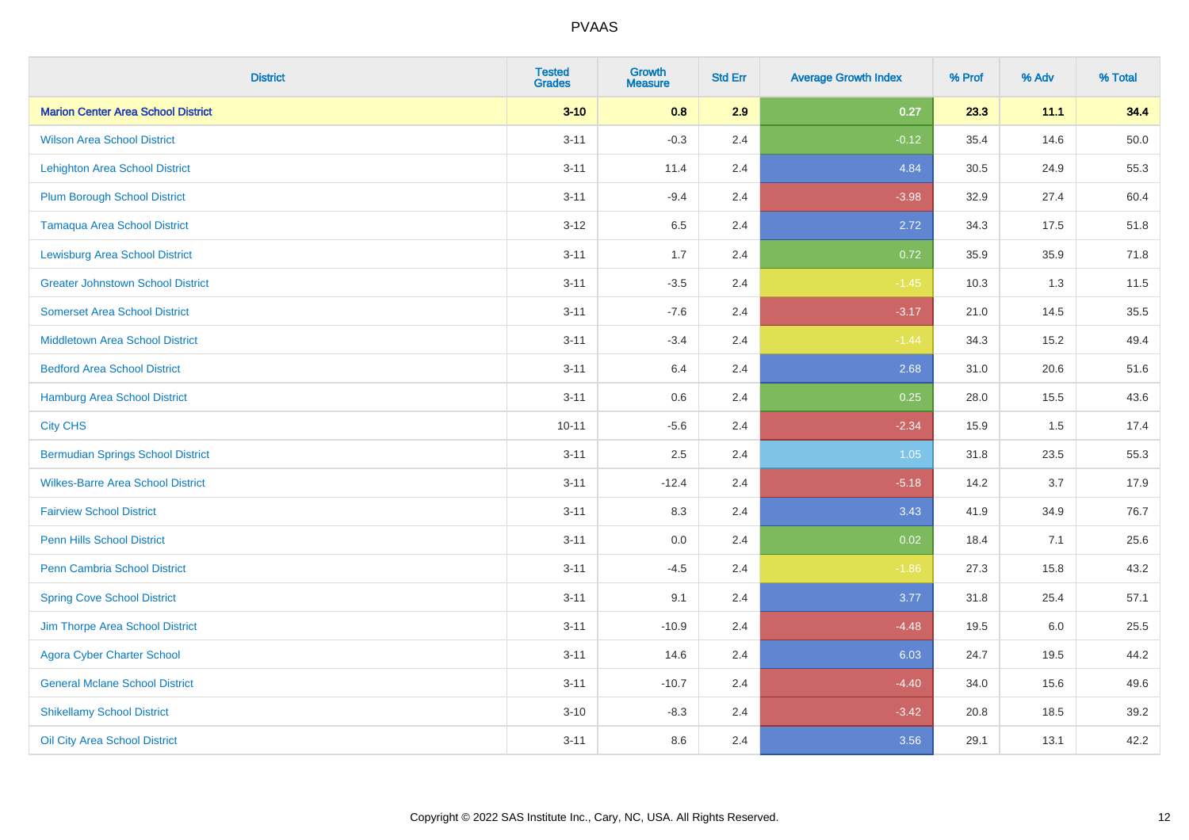| <b>District</b>                           | <b>Tested</b><br><b>Grades</b> | <b>Growth</b><br><b>Measure</b> | <b>Std Err</b> | <b>Average Growth Index</b> | % Prof | % Adv | % Total |
|-------------------------------------------|--------------------------------|---------------------------------|----------------|-----------------------------|--------|-------|---------|
| <b>Marion Center Area School District</b> | $3 - 10$                       | 0.8                             | 2.9            | 0.27                        | 23.3   | 11.1  | 34.4    |
| <b>Wilson Area School District</b>        | $3 - 11$                       | $-0.3$                          | 2.4            | $-0.12$                     | 35.4   | 14.6  | 50.0    |
| <b>Lehighton Area School District</b>     | $3 - 11$                       | 11.4                            | 2.4            | 4.84                        | 30.5   | 24.9  | 55.3    |
| <b>Plum Borough School District</b>       | $3 - 11$                       | $-9.4$                          | 2.4            | $-3.98$                     | 32.9   | 27.4  | 60.4    |
| <b>Tamaqua Area School District</b>       | $3 - 12$                       | 6.5                             | 2.4            | 2.72                        | 34.3   | 17.5  | 51.8    |
| <b>Lewisburg Area School District</b>     | $3 - 11$                       | 1.7                             | 2.4            | 0.72                        | 35.9   | 35.9  | 71.8    |
| <b>Greater Johnstown School District</b>  | $3 - 11$                       | $-3.5$                          | 2.4            | $-1.45$                     | 10.3   | 1.3   | 11.5    |
| <b>Somerset Area School District</b>      | $3 - 11$                       | $-7.6$                          | 2.4            | $-3.17$                     | 21.0   | 14.5  | 35.5    |
| <b>Middletown Area School District</b>    | $3 - 11$                       | $-3.4$                          | 2.4            | $-1.44$                     | 34.3   | 15.2  | 49.4    |
| <b>Bedford Area School District</b>       | $3 - 11$                       | 6.4                             | 2.4            | 2.68                        | 31.0   | 20.6  | 51.6    |
| Hamburg Area School District              | $3 - 11$                       | 0.6                             | 2.4            | 0.25                        | 28.0   | 15.5  | 43.6    |
| <b>City CHS</b>                           | $10 - 11$                      | $-5.6$                          | 2.4            | $-2.34$                     | 15.9   | 1.5   | 17.4    |
| <b>Bermudian Springs School District</b>  | $3 - 11$                       | 2.5                             | 2.4            | 1.05                        | 31.8   | 23.5  | 55.3    |
| <b>Wilkes-Barre Area School District</b>  | $3 - 11$                       | $-12.4$                         | 2.4            | $-5.18$                     | 14.2   | 3.7   | 17.9    |
| <b>Fairview School District</b>           | $3 - 11$                       | 8.3                             | 2.4            | 3.43                        | 41.9   | 34.9  | 76.7    |
| Penn Hills School District                | $3 - 11$                       | 0.0                             | 2.4            | 0.02                        | 18.4   | 7.1   | 25.6    |
| <b>Penn Cambria School District</b>       | $3 - 11$                       | $-4.5$                          | 2.4            | $-1.86$                     | 27.3   | 15.8  | 43.2    |
| <b>Spring Cove School District</b>        | $3 - 11$                       | 9.1                             | 2.4            | 3.77                        | 31.8   | 25.4  | 57.1    |
| Jim Thorpe Area School District           | $3 - 11$                       | $-10.9$                         | 2.4            | $-4.48$                     | 19.5   | 6.0   | 25.5    |
| <b>Agora Cyber Charter School</b>         | $3 - 11$                       | 14.6                            | 2.4            | 6.03                        | 24.7   | 19.5  | 44.2    |
| <b>General Mclane School District</b>     | $3 - 11$                       | $-10.7$                         | 2.4            | $-4.40$                     | 34.0   | 15.6  | 49.6    |
| <b>Shikellamy School District</b>         | $3 - 10$                       | $-8.3$                          | 2.4            | $-3.42$                     | 20.8   | 18.5  | 39.2    |
| Oil City Area School District             | $3 - 11$                       | 8.6                             | 2.4            | 3.56                        | 29.1   | 13.1  | 42.2    |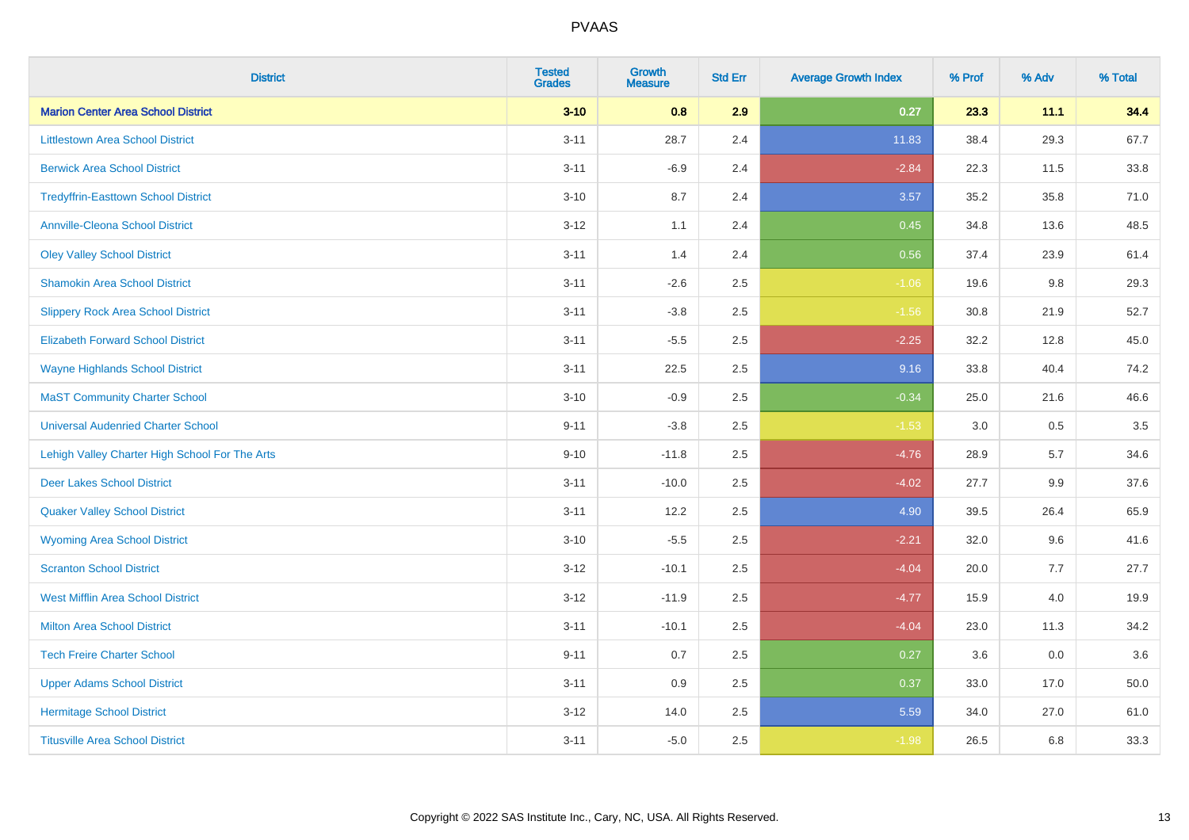| <b>District</b>                                | <b>Tested</b><br><b>Grades</b> | <b>Growth</b><br><b>Measure</b> | <b>Std Err</b> | <b>Average Growth Index</b> | % Prof | % Adv | % Total |
|------------------------------------------------|--------------------------------|---------------------------------|----------------|-----------------------------|--------|-------|---------|
| <b>Marion Center Area School District</b>      | $3 - 10$                       | 0.8                             | 2.9            | 0.27                        | 23.3   | 11.1  | 34.4    |
| <b>Littlestown Area School District</b>        | $3 - 11$                       | 28.7                            | 2.4            | 11.83                       | 38.4   | 29.3  | 67.7    |
| <b>Berwick Area School District</b>            | $3 - 11$                       | $-6.9$                          | 2.4            | $-2.84$                     | 22.3   | 11.5  | 33.8    |
| <b>Tredyffrin-Easttown School District</b>     | $3 - 10$                       | 8.7                             | 2.4            | 3.57                        | 35.2   | 35.8  | 71.0    |
| <b>Annville-Cleona School District</b>         | $3 - 12$                       | 1.1                             | 2.4            | 0.45                        | 34.8   | 13.6  | 48.5    |
| <b>Oley Valley School District</b>             | $3 - 11$                       | 1.4                             | 2.4            | 0.56                        | 37.4   | 23.9  | 61.4    |
| <b>Shamokin Area School District</b>           | $3 - 11$                       | $-2.6$                          | 2.5            | $-1.06$                     | 19.6   | 9.8   | 29.3    |
| <b>Slippery Rock Area School District</b>      | $3 - 11$                       | $-3.8$                          | 2.5            | $-1.56$                     | 30.8   | 21.9  | 52.7    |
| <b>Elizabeth Forward School District</b>       | $3 - 11$                       | $-5.5$                          | 2.5            | $-2.25$                     | 32.2   | 12.8  | 45.0    |
| <b>Wayne Highlands School District</b>         | $3 - 11$                       | 22.5                            | 2.5            | 9.16                        | 33.8   | 40.4  | 74.2    |
| <b>MaST Community Charter School</b>           | $3 - 10$                       | $-0.9$                          | 2.5            | $-0.34$                     | 25.0   | 21.6  | 46.6    |
| <b>Universal Audenried Charter School</b>      | $9 - 11$                       | $-3.8$                          | 2.5            | $-1.53$                     | 3.0    | 0.5   | 3.5     |
| Lehigh Valley Charter High School For The Arts | $9 - 10$                       | $-11.8$                         | 2.5            | $-4.76$                     | 28.9   | 5.7   | 34.6    |
| <b>Deer Lakes School District</b>              | $3 - 11$                       | $-10.0$                         | 2.5            | $-4.02$                     | 27.7   | 9.9   | 37.6    |
| <b>Quaker Valley School District</b>           | $3 - 11$                       | 12.2                            | 2.5            | 4.90                        | 39.5   | 26.4  | 65.9    |
| <b>Wyoming Area School District</b>            | $3 - 10$                       | $-5.5$                          | 2.5            | $-2.21$                     | 32.0   | 9.6   | 41.6    |
| <b>Scranton School District</b>                | $3 - 12$                       | $-10.1$                         | 2.5            | $-4.04$                     | 20.0   | 7.7   | 27.7    |
| <b>West Mifflin Area School District</b>       | $3 - 12$                       | $-11.9$                         | 2.5            | $-4.77$                     | 15.9   | 4.0   | 19.9    |
| <b>Milton Area School District</b>             | $3 - 11$                       | $-10.1$                         | 2.5            | $-4.04$                     | 23.0   | 11.3  | 34.2    |
| <b>Tech Freire Charter School</b>              | $9 - 11$                       | 0.7                             | 2.5            | 0.27                        | 3.6    | 0.0   | 3.6     |
| <b>Upper Adams School District</b>             | $3 - 11$                       | 0.9                             | 2.5            | 0.37                        | 33.0   | 17.0  | 50.0    |
| <b>Hermitage School District</b>               | $3 - 12$                       | 14.0                            | 2.5            | 5.59                        | 34.0   | 27.0  | 61.0    |
| <b>Titusville Area School District</b>         | $3 - 11$                       | $-5.0$                          | 2.5            | $-1.98$                     | 26.5   | 6.8   | 33.3    |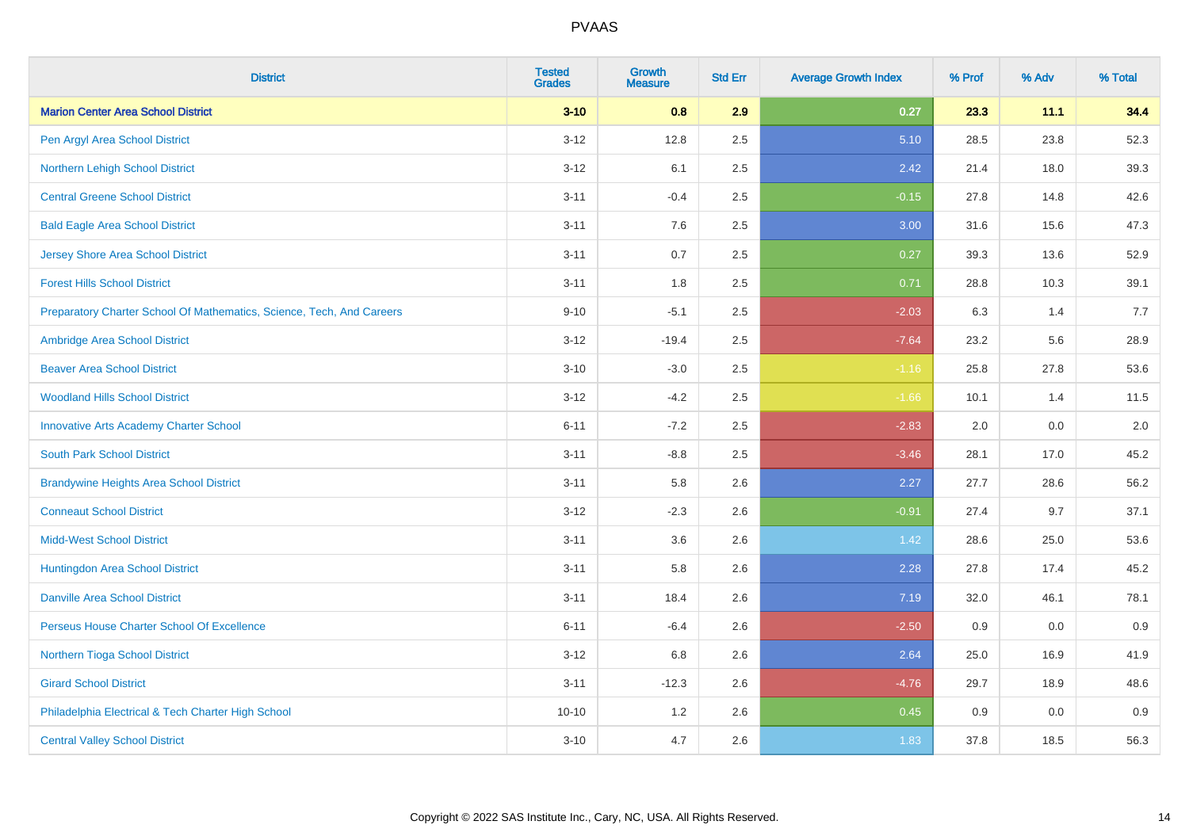| <b>District</b>                                                       | <b>Tested</b><br><b>Grades</b> | <b>Growth</b><br><b>Measure</b> | <b>Std Err</b> | <b>Average Growth Index</b> | % Prof | % Adv | % Total |
|-----------------------------------------------------------------------|--------------------------------|---------------------------------|----------------|-----------------------------|--------|-------|---------|
| <b>Marion Center Area School District</b>                             | $3 - 10$                       | 0.8                             | 2.9            | 0.27                        | 23.3   | 11.1  | 34.4    |
| Pen Argyl Area School District                                        | $3 - 12$                       | 12.8                            | 2.5            | 5.10                        | 28.5   | 23.8  | 52.3    |
| Northern Lehigh School District                                       | $3 - 12$                       | 6.1                             | 2.5            | 2.42                        | 21.4   | 18.0  | 39.3    |
| <b>Central Greene School District</b>                                 | $3 - 11$                       | $-0.4$                          | 2.5            | $-0.15$                     | 27.8   | 14.8  | 42.6    |
| <b>Bald Eagle Area School District</b>                                | $3 - 11$                       | 7.6                             | 2.5            | 3.00                        | 31.6   | 15.6  | 47.3    |
| <b>Jersey Shore Area School District</b>                              | $3 - 11$                       | 0.7                             | 2.5            | 0.27                        | 39.3   | 13.6  | 52.9    |
| <b>Forest Hills School District</b>                                   | $3 - 11$                       | 1.8                             | 2.5            | 0.71                        | 28.8   | 10.3  | 39.1    |
| Preparatory Charter School Of Mathematics, Science, Tech, And Careers | $9 - 10$                       | $-5.1$                          | 2.5            | $-2.03$                     | 6.3    | 1.4   | 7.7     |
| Ambridge Area School District                                         | $3 - 12$                       | $-19.4$                         | 2.5            | $-7.64$                     | 23.2   | 5.6   | 28.9    |
| <b>Beaver Area School District</b>                                    | $3 - 10$                       | $-3.0$                          | 2.5            | $-1.16$                     | 25.8   | 27.8  | 53.6    |
| <b>Woodland Hills School District</b>                                 | $3 - 12$                       | $-4.2$                          | 2.5            | $-1.66$                     | 10.1   | 1.4   | 11.5    |
| <b>Innovative Arts Academy Charter School</b>                         | $6 - 11$                       | $-7.2$                          | 2.5            | $-2.83$                     | 2.0    | 0.0   | 2.0     |
| <b>South Park School District</b>                                     | $3 - 11$                       | $-8.8$                          | 2.5            | $-3.46$                     | 28.1   | 17.0  | 45.2    |
| <b>Brandywine Heights Area School District</b>                        | $3 - 11$                       | 5.8                             | 2.6            | 2.27                        | 27.7   | 28.6  | 56.2    |
| <b>Conneaut School District</b>                                       | $3 - 12$                       | $-2.3$                          | 2.6            | $-0.91$                     | 27.4   | 9.7   | 37.1    |
| <b>Midd-West School District</b>                                      | $3 - 11$                       | 3.6                             | 2.6            | 1.42                        | 28.6   | 25.0  | 53.6    |
| Huntingdon Area School District                                       | $3 - 11$                       | 5.8                             | 2.6            | 2.28                        | 27.8   | 17.4  | 45.2    |
| <b>Danville Area School District</b>                                  | $3 - 11$                       | 18.4                            | 2.6            | 7.19                        | 32.0   | 46.1  | 78.1    |
| Perseus House Charter School Of Excellence                            | $6 - 11$                       | $-6.4$                          | 2.6            | $-2.50$                     | 0.9    | 0.0   | 0.9     |
| Northern Tioga School District                                        | $3 - 12$                       | 6.8                             | 2.6            | 2.64                        | 25.0   | 16.9  | 41.9    |
| <b>Girard School District</b>                                         | $3 - 11$                       | $-12.3$                         | 2.6            | $-4.76$                     | 29.7   | 18.9  | 48.6    |
| Philadelphia Electrical & Tech Charter High School                    | $10 - 10$                      | 1.2                             | 2.6            | 0.45                        | 0.9    | 0.0   | 0.9     |
| <b>Central Valley School District</b>                                 | $3 - 10$                       | 4.7                             | 2.6            | 1.83                        | 37.8   | 18.5  | 56.3    |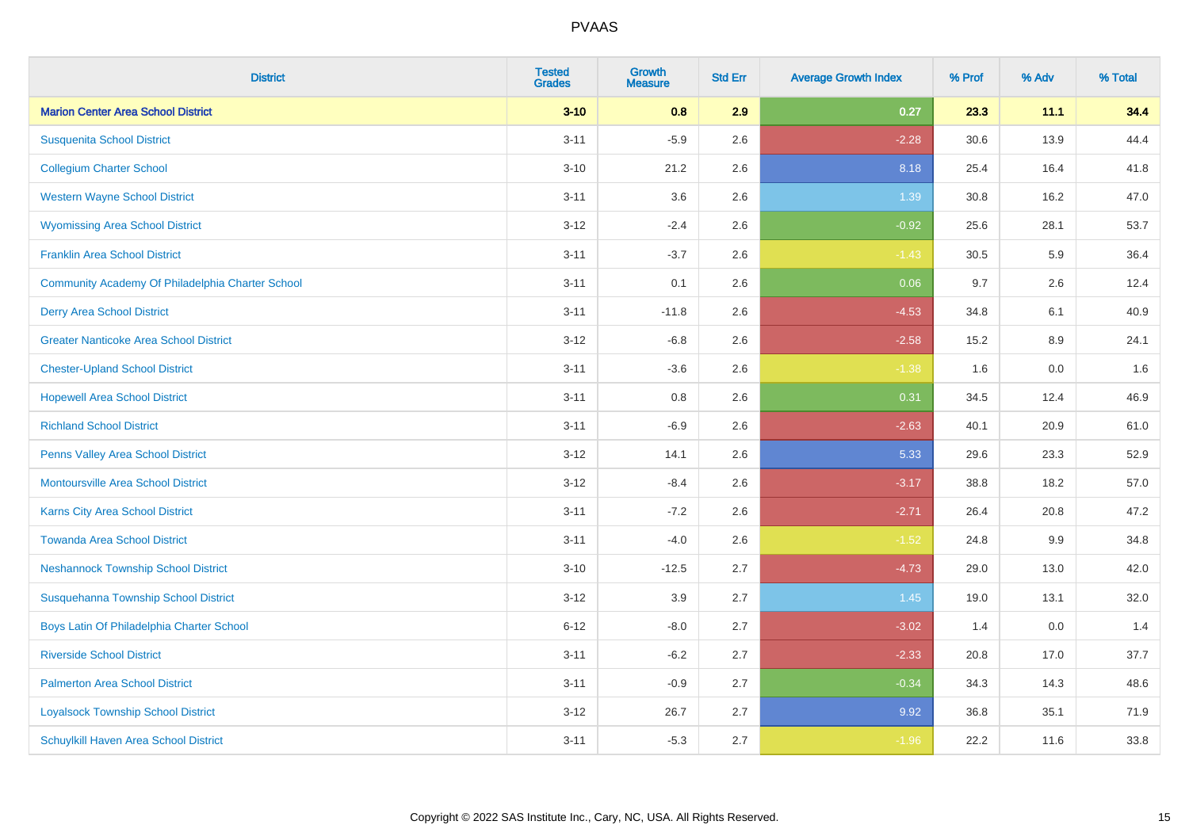| <b>District</b>                                  | <b>Tested</b><br><b>Grades</b> | Growth<br><b>Measure</b> | <b>Std Err</b> | <b>Average Growth Index</b> | % Prof | % Adv   | % Total |
|--------------------------------------------------|--------------------------------|--------------------------|----------------|-----------------------------|--------|---------|---------|
| <b>Marion Center Area School District</b>        | $3 - 10$                       | 0.8                      | 2.9            | 0.27                        | 23.3   | 11.1    | 34.4    |
| <b>Susquenita School District</b>                | $3 - 11$                       | $-5.9$                   | 2.6            | $-2.28$                     | 30.6   | 13.9    | 44.4    |
| <b>Collegium Charter School</b>                  | $3 - 10$                       | 21.2                     | 2.6            | 8.18                        | 25.4   | 16.4    | 41.8    |
| <b>Western Wayne School District</b>             | $3 - 11$                       | 3.6                      | 2.6            | 1.39                        | 30.8   | 16.2    | 47.0    |
| <b>Wyomissing Area School District</b>           | $3 - 12$                       | $-2.4$                   | 2.6            | $-0.92$                     | 25.6   | 28.1    | 53.7    |
| <b>Franklin Area School District</b>             | $3 - 11$                       | $-3.7$                   | 2.6            | $-1.43$                     | 30.5   | 5.9     | 36.4    |
| Community Academy Of Philadelphia Charter School | $3 - 11$                       | 0.1                      | 2.6            | 0.06                        | 9.7    | 2.6     | 12.4    |
| <b>Derry Area School District</b>                | $3 - 11$                       | $-11.8$                  | 2.6            | $-4.53$                     | 34.8   | 6.1     | 40.9    |
| <b>Greater Nanticoke Area School District</b>    | $3 - 12$                       | $-6.8$                   | 2.6            | $-2.58$                     | 15.2   | $8.9\,$ | 24.1    |
| <b>Chester-Upland School District</b>            | $3 - 11$                       | $-3.6$                   | 2.6            | $-1.38$                     | 1.6    | 0.0     | 1.6     |
| <b>Hopewell Area School District</b>             | $3 - 11$                       | 0.8                      | 2.6            | 0.31                        | 34.5   | 12.4    | 46.9    |
| <b>Richland School District</b>                  | $3 - 11$                       | $-6.9$                   | 2.6            | $-2.63$                     | 40.1   | 20.9    | 61.0    |
| Penns Valley Area School District                | $3 - 12$                       | 14.1                     | 2.6            | 5.33                        | 29.6   | 23.3    | 52.9    |
| <b>Montoursville Area School District</b>        | $3-12$                         | $-8.4$                   | 2.6            | $-3.17$                     | 38.8   | 18.2    | 57.0    |
| Karns City Area School District                  | $3 - 11$                       | $-7.2$                   | 2.6            | $-2.71$                     | 26.4   | 20.8    | 47.2    |
| <b>Towanda Area School District</b>              | $3 - 11$                       | $-4.0$                   | 2.6            | $-1.52$                     | 24.8   | 9.9     | 34.8    |
| <b>Neshannock Township School District</b>       | $3 - 10$                       | $-12.5$                  | 2.7            | $-4.73$                     | 29.0   | 13.0    | 42.0    |
| Susquehanna Township School District             | $3-12$                         | 3.9                      | 2.7            | 1.45                        | 19.0   | 13.1    | 32.0    |
| Boys Latin Of Philadelphia Charter School        | $6 - 12$                       | $-8.0$                   | 2.7            | $-3.02$                     | 1.4    | 0.0     | 1.4     |
| <b>Riverside School District</b>                 | $3 - 11$                       | $-6.2$                   | 2.7            | $-2.33$                     | 20.8   | 17.0    | 37.7    |
| <b>Palmerton Area School District</b>            | $3 - 11$                       | $-0.9$                   | 2.7            | $-0.34$                     | 34.3   | 14.3    | 48.6    |
| <b>Loyalsock Township School District</b>        | $3 - 12$                       | 26.7                     | 2.7            | 9.92                        | 36.8   | 35.1    | 71.9    |
| Schuylkill Haven Area School District            | $3 - 11$                       | $-5.3$                   | 2.7            | $-1.96$                     | 22.2   | 11.6    | 33.8    |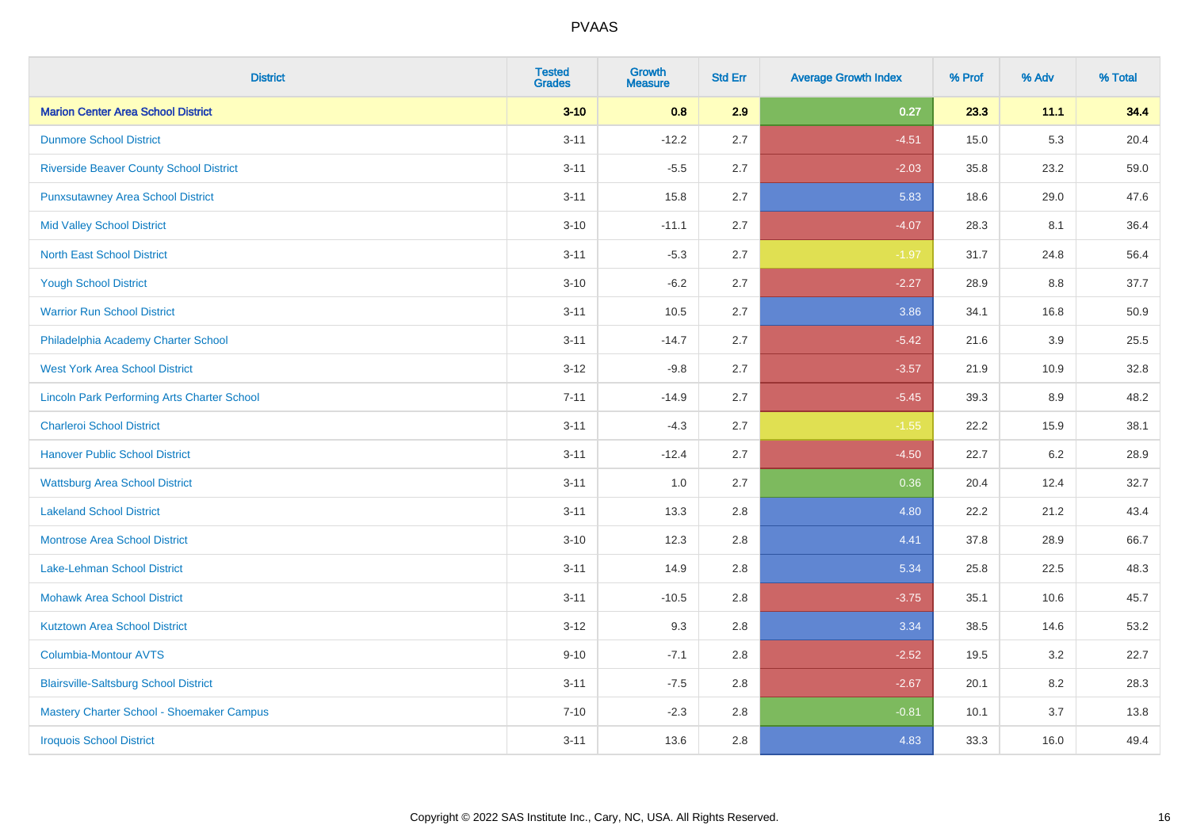| <b>District</b>                                    | <b>Tested</b><br><b>Grades</b> | <b>Growth</b><br><b>Measure</b> | <b>Std Err</b> | <b>Average Growth Index</b> | % Prof | % Adv | % Total |
|----------------------------------------------------|--------------------------------|---------------------------------|----------------|-----------------------------|--------|-------|---------|
| <b>Marion Center Area School District</b>          | $3 - 10$                       | 0.8                             | 2.9            | 0.27                        | 23.3   | 11.1  | 34.4    |
| <b>Dunmore School District</b>                     | $3 - 11$                       | $-12.2$                         | 2.7            | $-4.51$                     | 15.0   | 5.3   | 20.4    |
| <b>Riverside Beaver County School District</b>     | $3 - 11$                       | $-5.5$                          | 2.7            | $-2.03$                     | 35.8   | 23.2  | 59.0    |
| <b>Punxsutawney Area School District</b>           | $3 - 11$                       | 15.8                            | 2.7            | 5.83                        | 18.6   | 29.0  | 47.6    |
| <b>Mid Valley School District</b>                  | $3 - 10$                       | $-11.1$                         | 2.7            | $-4.07$                     | 28.3   | 8.1   | 36.4    |
| <b>North East School District</b>                  | $3 - 11$                       | $-5.3$                          | 2.7            | $-1.97$                     | 31.7   | 24.8  | 56.4    |
| <b>Yough School District</b>                       | $3 - 10$                       | $-6.2$                          | 2.7            | $-2.27$                     | 28.9   | 8.8   | 37.7    |
| <b>Warrior Run School District</b>                 | $3 - 11$                       | 10.5                            | 2.7            | 3.86                        | 34.1   | 16.8  | 50.9    |
| Philadelphia Academy Charter School                | $3 - 11$                       | $-14.7$                         | 2.7            | $-5.42$                     | 21.6   | 3.9   | 25.5    |
| <b>West York Area School District</b>              | $3-12$                         | $-9.8$                          | 2.7            | $-3.57$                     | 21.9   | 10.9  | 32.8    |
| <b>Lincoln Park Performing Arts Charter School</b> | $7 - 11$                       | $-14.9$                         | 2.7            | $-5.45$                     | 39.3   | 8.9   | 48.2    |
| <b>Charleroi School District</b>                   | $3 - 11$                       | $-4.3$                          | 2.7            | $-1.55$                     | 22.2   | 15.9  | 38.1    |
| <b>Hanover Public School District</b>              | $3 - 11$                       | $-12.4$                         | 2.7            | $-4.50$                     | 22.7   | 6.2   | 28.9    |
| <b>Wattsburg Area School District</b>              | $3 - 11$                       | 1.0                             | 2.7            | 0.36                        | 20.4   | 12.4  | 32.7    |
| <b>Lakeland School District</b>                    | $3 - 11$                       | 13.3                            | 2.8            | 4.80                        | 22.2   | 21.2  | 43.4    |
| <b>Montrose Area School District</b>               | $3 - 10$                       | 12.3                            | 2.8            | 4.41                        | 37.8   | 28.9  | 66.7    |
| Lake-Lehman School District                        | $3 - 11$                       | 14.9                            | 2.8            | 5.34                        | 25.8   | 22.5  | 48.3    |
| <b>Mohawk Area School District</b>                 | $3 - 11$                       | $-10.5$                         | 2.8            | $-3.75$                     | 35.1   | 10.6  | 45.7    |
| <b>Kutztown Area School District</b>               | $3-12$                         | 9.3                             | 2.8            | 3.34                        | 38.5   | 14.6  | 53.2    |
| <b>Columbia-Montour AVTS</b>                       | $9 - 10$                       | $-7.1$                          | 2.8            | $-2.52$                     | 19.5   | 3.2   | 22.7    |
| <b>Blairsville-Saltsburg School District</b>       | $3 - 11$                       | $-7.5$                          | 2.8            | $-2.67$                     | 20.1   | 8.2   | 28.3    |
| Mastery Charter School - Shoemaker Campus          | $7 - 10$                       | $-2.3$                          | 2.8            | $-0.81$                     | 10.1   | 3.7   | 13.8    |
| <b>Iroquois School District</b>                    | $3 - 11$                       | 13.6                            | 2.8            | 4.83                        | 33.3   | 16.0  | 49.4    |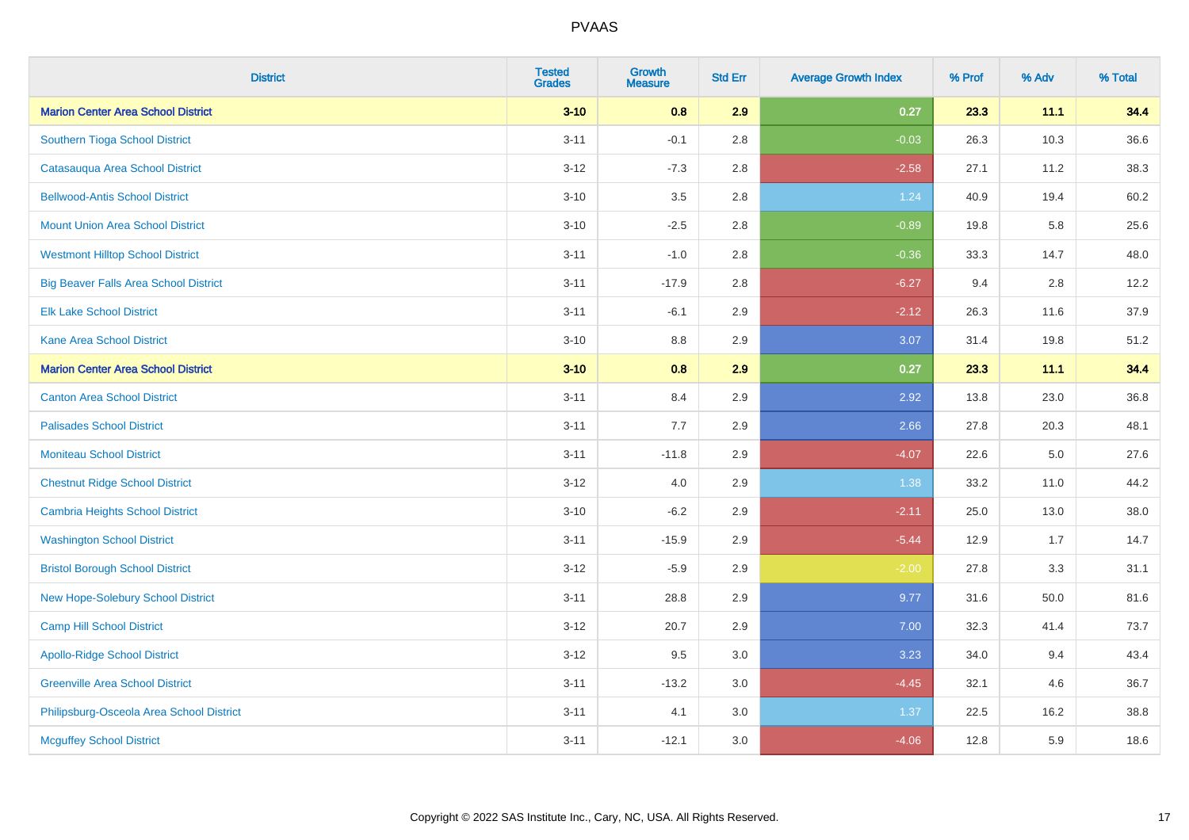| <b>District</b>                              | <b>Tested</b><br><b>Grades</b> | <b>Growth</b><br><b>Measure</b> | <b>Std Err</b> | <b>Average Growth Index</b> | % Prof | % Adv   | % Total |
|----------------------------------------------|--------------------------------|---------------------------------|----------------|-----------------------------|--------|---------|---------|
| <b>Marion Center Area School District</b>    | $3 - 10$                       | 0.8                             | 2.9            | 0.27                        | 23.3   | 11.1    | 34.4    |
| Southern Tioga School District               | $3 - 11$                       | $-0.1$                          | 2.8            | $-0.03$                     | 26.3   | 10.3    | 36.6    |
| Catasauqua Area School District              | $3 - 12$                       | $-7.3$                          | 2.8            | $-2.58$                     | 27.1   | 11.2    | 38.3    |
| <b>Bellwood-Antis School District</b>        | $3 - 10$                       | 3.5                             | 2.8            | 1.24                        | 40.9   | 19.4    | 60.2    |
| <b>Mount Union Area School District</b>      | $3 - 10$                       | $-2.5$                          | 2.8            | $-0.89$                     | 19.8   | 5.8     | 25.6    |
| <b>Westmont Hilltop School District</b>      | $3 - 11$                       | $-1.0$                          | 2.8            | $-0.36$                     | 33.3   | 14.7    | 48.0    |
| <b>Big Beaver Falls Area School District</b> | $3 - 11$                       | $-17.9$                         | 2.8            | $-6.27$                     | 9.4    | 2.8     | 12.2    |
| <b>Elk Lake School District</b>              | $3 - 11$                       | $-6.1$                          | 2.9            | $-2.12$                     | 26.3   | 11.6    | 37.9    |
| <b>Kane Area School District</b>             | $3 - 10$                       | 8.8                             | 2.9            | 3.07                        | 31.4   | 19.8    | 51.2    |
| <b>Marion Center Area School District</b>    | $3 - 10$                       | 0.8                             | 2.9            | 0.27                        | 23.3   | 11.1    | 34.4    |
| <b>Canton Area School District</b>           | $3 - 11$                       | 8.4                             | 2.9            | 2.92                        | 13.8   | 23.0    | 36.8    |
| <b>Palisades School District</b>             | $3 - 11$                       | 7.7                             | 2.9            | 2.66                        | 27.8   | 20.3    | 48.1    |
| <b>Moniteau School District</b>              | $3 - 11$                       | $-11.8$                         | 2.9            | $-4.07$                     | 22.6   | $5.0\,$ | 27.6    |
| <b>Chestnut Ridge School District</b>        | $3 - 12$                       | 4.0                             | 2.9            | 1.38                        | 33.2   | 11.0    | 44.2    |
| <b>Cambria Heights School District</b>       | $3 - 10$                       | $-6.2$                          | 2.9            | $-2.11$                     | 25.0   | 13.0    | 38.0    |
| <b>Washington School District</b>            | $3 - 11$                       | $-15.9$                         | 2.9            | $-5.44$                     | 12.9   | 1.7     | 14.7    |
| <b>Bristol Borough School District</b>       | $3 - 12$                       | $-5.9$                          | 2.9            | $-2.00$                     | 27.8   | 3.3     | 31.1    |
| New Hope-Solebury School District            | $3 - 11$                       | 28.8                            | 2.9            | 9.77                        | 31.6   | 50.0    | 81.6    |
| <b>Camp Hill School District</b>             | $3 - 12$                       | 20.7                            | 2.9            | 7.00                        | 32.3   | 41.4    | 73.7    |
| <b>Apollo-Ridge School District</b>          | $3 - 12$                       | 9.5                             | 3.0            | 3.23                        | 34.0   | 9.4     | 43.4    |
| <b>Greenville Area School District</b>       | $3 - 11$                       | $-13.2$                         | 3.0            | $-4.45$                     | 32.1   | 4.6     | 36.7    |
| Philipsburg-Osceola Area School District     | $3 - 11$                       | 4.1                             | 3.0            | 1.37                        | 22.5   | 16.2    | 38.8    |
| <b>Mcguffey School District</b>              | $3 - 11$                       | $-12.1$                         | 3.0            | $-4.06$                     | 12.8   | 5.9     | 18.6    |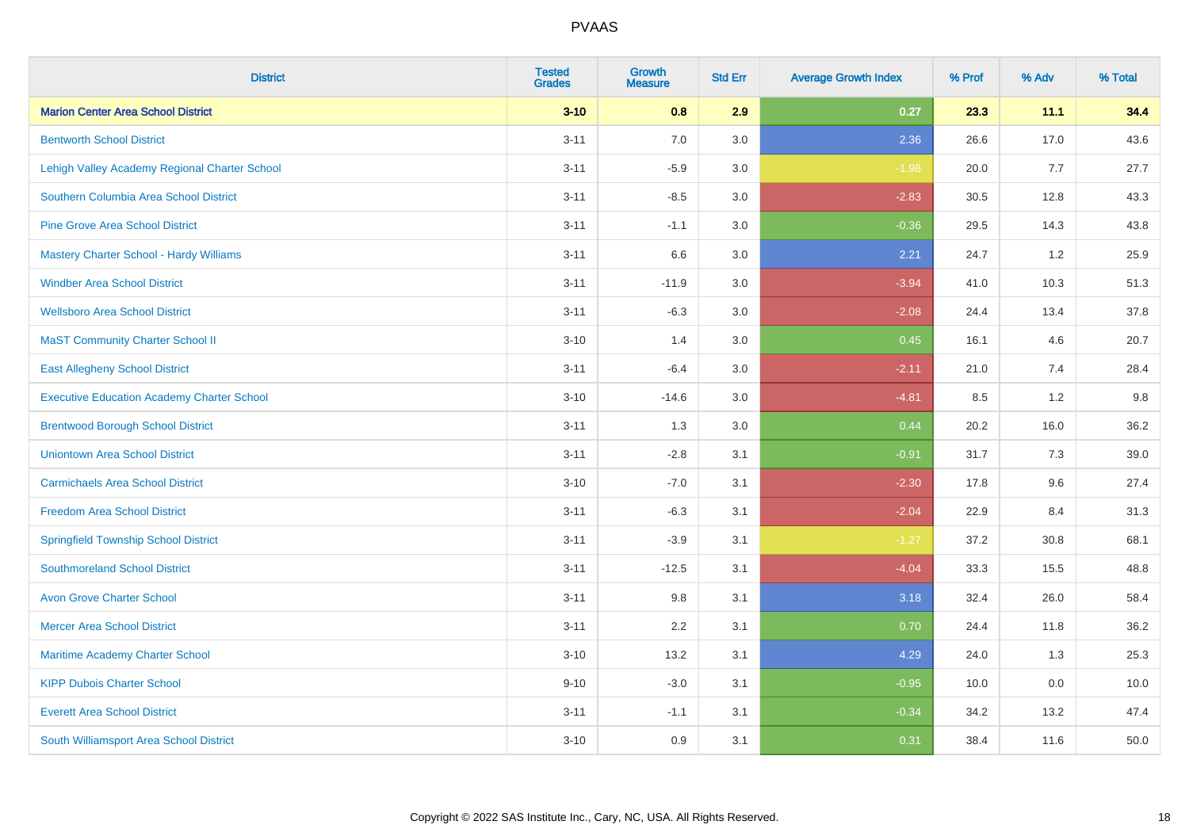| <b>District</b>                                   | <b>Tested</b><br><b>Grades</b> | <b>Growth</b><br><b>Measure</b> | <b>Std Err</b> | <b>Average Growth Index</b> | % Prof | % Adv | % Total |
|---------------------------------------------------|--------------------------------|---------------------------------|----------------|-----------------------------|--------|-------|---------|
| <b>Marion Center Area School District</b>         | $3 - 10$                       | 0.8                             | 2.9            | 0.27                        | 23.3   | 11.1  | 34.4    |
| <b>Bentworth School District</b>                  | $3 - 11$                       | 7.0                             | 3.0            | 2.36                        | 26.6   | 17.0  | 43.6    |
| Lehigh Valley Academy Regional Charter School     | $3 - 11$                       | $-5.9$                          | 3.0            | $-1.98$                     | 20.0   | 7.7   | 27.7    |
| Southern Columbia Area School District            | $3 - 11$                       | $-8.5$                          | 3.0            | $-2.83$                     | 30.5   | 12.8  | 43.3    |
| <b>Pine Grove Area School District</b>            | $3 - 11$                       | $-1.1$                          | 3.0            | $-0.36$                     | 29.5   | 14.3  | 43.8    |
| <b>Mastery Charter School - Hardy Williams</b>    | $3 - 11$                       | 6.6                             | 3.0            | 2.21                        | 24.7   | 1.2   | 25.9    |
| <b>Windber Area School District</b>               | $3 - 11$                       | $-11.9$                         | 3.0            | $-3.94$                     | 41.0   | 10.3  | 51.3    |
| <b>Wellsboro Area School District</b>             | $3 - 11$                       | $-6.3$                          | 3.0            | $-2.08$                     | 24.4   | 13.4  | 37.8    |
| <b>MaST Community Charter School II</b>           | $3 - 10$                       | 1.4                             | 3.0            | 0.45                        | 16.1   | 4.6   | 20.7    |
| <b>East Allegheny School District</b>             | $3 - 11$                       | $-6.4$                          | 3.0            | $-2.11$                     | 21.0   | 7.4   | 28.4    |
| <b>Executive Education Academy Charter School</b> | $3 - 10$                       | $-14.6$                         | 3.0            | $-4.81$                     | 8.5    | 1.2   | 9.8     |
| <b>Brentwood Borough School District</b>          | $3 - 11$                       | 1.3                             | 3.0            | 0.44                        | 20.2   | 16.0  | 36.2    |
| <b>Uniontown Area School District</b>             | $3 - 11$                       | $-2.8$                          | 3.1            | $-0.91$                     | 31.7   | 7.3   | 39.0    |
| <b>Carmichaels Area School District</b>           | $3 - 10$                       | $-7.0$                          | 3.1            | $-2.30$                     | 17.8   | 9.6   | 27.4    |
| <b>Freedom Area School District</b>               | $3 - 11$                       | $-6.3$                          | 3.1            | $-2.04$                     | 22.9   | 8.4   | 31.3    |
| <b>Springfield Township School District</b>       | $3 - 11$                       | $-3.9$                          | 3.1            | $-1.27$                     | 37.2   | 30.8  | 68.1    |
| <b>Southmoreland School District</b>              | $3 - 11$                       | $-12.5$                         | 3.1            | $-4.04$                     | 33.3   | 15.5  | 48.8    |
| <b>Avon Grove Charter School</b>                  | $3 - 11$                       | 9.8                             | 3.1            | 3.18                        | 32.4   | 26.0  | 58.4    |
| <b>Mercer Area School District</b>                | $3 - 11$                       | 2.2                             | 3.1            | 0.70                        | 24.4   | 11.8  | 36.2    |
| <b>Maritime Academy Charter School</b>            | $3 - 10$                       | 13.2                            | 3.1            | 4.29                        | 24.0   | 1.3   | 25.3    |
| <b>KIPP Dubois Charter School</b>                 | $9 - 10$                       | $-3.0$                          | 3.1            | $-0.95$                     | 10.0   | 0.0   | 10.0    |
| <b>Everett Area School District</b>               | $3 - 11$                       | $-1.1$                          | 3.1            | $-0.34$                     | 34.2   | 13.2  | 47.4    |
| South Williamsport Area School District           | $3 - 10$                       | 0.9                             | 3.1            | 0.31                        | 38.4   | 11.6  | 50.0    |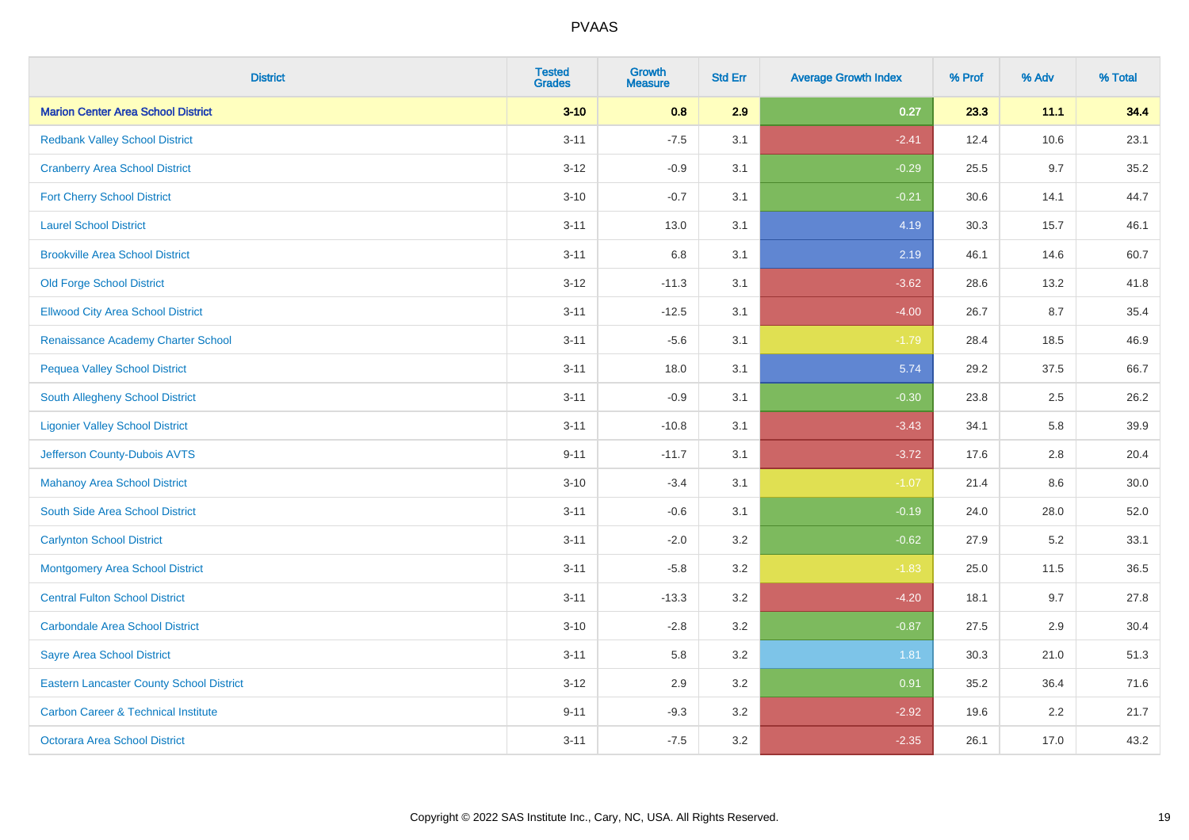| <b>District</b>                                 | <b>Tested</b><br><b>Grades</b> | <b>Growth</b><br><b>Measure</b> | <b>Std Err</b> | <b>Average Growth Index</b> | % Prof | % Adv | % Total |
|-------------------------------------------------|--------------------------------|---------------------------------|----------------|-----------------------------|--------|-------|---------|
| <b>Marion Center Area School District</b>       | $3 - 10$                       | 0.8                             | 2.9            | 0.27                        | 23.3   | 11.1  | 34.4    |
| <b>Redbank Valley School District</b>           | $3 - 11$                       | $-7.5$                          | 3.1            | $-2.41$                     | 12.4   | 10.6  | 23.1    |
| <b>Cranberry Area School District</b>           | $3 - 12$                       | $-0.9$                          | 3.1            | $-0.29$                     | 25.5   | 9.7   | 35.2    |
| <b>Fort Cherry School District</b>              | $3 - 10$                       | $-0.7$                          | 3.1            | $-0.21$                     | 30.6   | 14.1  | 44.7    |
| <b>Laurel School District</b>                   | $3 - 11$                       | 13.0                            | 3.1            | 4.19                        | 30.3   | 15.7  | 46.1    |
| <b>Brookville Area School District</b>          | $3 - 11$                       | $6.8\,$                         | 3.1            | 2.19                        | 46.1   | 14.6  | 60.7    |
| <b>Old Forge School District</b>                | $3 - 12$                       | $-11.3$                         | 3.1            | $-3.62$                     | 28.6   | 13.2  | 41.8    |
| <b>Ellwood City Area School District</b>        | $3 - 11$                       | $-12.5$                         | 3.1            | $-4.00$                     | 26.7   | 8.7   | 35.4    |
| Renaissance Academy Charter School              | $3 - 11$                       | $-5.6$                          | 3.1            | $-1.79$                     | 28.4   | 18.5  | 46.9    |
| <b>Pequea Valley School District</b>            | $3 - 11$                       | 18.0                            | 3.1            | 5.74                        | 29.2   | 37.5  | 66.7    |
| South Allegheny School District                 | $3 - 11$                       | $-0.9$                          | 3.1            | $-0.30$                     | 23.8   | 2.5   | 26.2    |
| <b>Ligonier Valley School District</b>          | $3 - 11$                       | $-10.8$                         | 3.1            | $-3.43$                     | 34.1   | 5.8   | 39.9    |
| Jefferson County-Dubois AVTS                    | $9 - 11$                       | $-11.7$                         | 3.1            | $-3.72$                     | 17.6   | 2.8   | 20.4    |
| <b>Mahanoy Area School District</b>             | $3 - 10$                       | $-3.4$                          | 3.1            | $-1.07$                     | 21.4   | 8.6   | 30.0    |
| South Side Area School District                 | $3 - 11$                       | $-0.6$                          | 3.1            | $-0.19$                     | 24.0   | 28.0  | 52.0    |
| <b>Carlynton School District</b>                | $3 - 11$                       | $-2.0$                          | 3.2            | $-0.62$                     | 27.9   | 5.2   | 33.1    |
| <b>Montgomery Area School District</b>          | $3 - 11$                       | $-5.8$                          | 3.2            | $-1.83$                     | 25.0   | 11.5  | 36.5    |
| <b>Central Fulton School District</b>           | $3 - 11$                       | $-13.3$                         | 3.2            | $-4.20$                     | 18.1   | 9.7   | 27.8    |
| <b>Carbondale Area School District</b>          | $3 - 10$                       | $-2.8$                          | 3.2            | $-0.87$                     | 27.5   | 2.9   | 30.4    |
| <b>Sayre Area School District</b>               | $3 - 11$                       | 5.8                             | 3.2            | 1.81                        | 30.3   | 21.0  | 51.3    |
| <b>Eastern Lancaster County School District</b> | $3 - 12$                       | 2.9                             | 3.2            | 0.91                        | 35.2   | 36.4  | 71.6    |
| <b>Carbon Career &amp; Technical Institute</b>  | $9 - 11$                       | $-9.3$                          | 3.2            | $-2.92$                     | 19.6   | 2.2   | 21.7    |
| Octorara Area School District                   | $3 - 11$                       | $-7.5$                          | 3.2            | $-2.35$                     | 26.1   | 17.0  | 43.2    |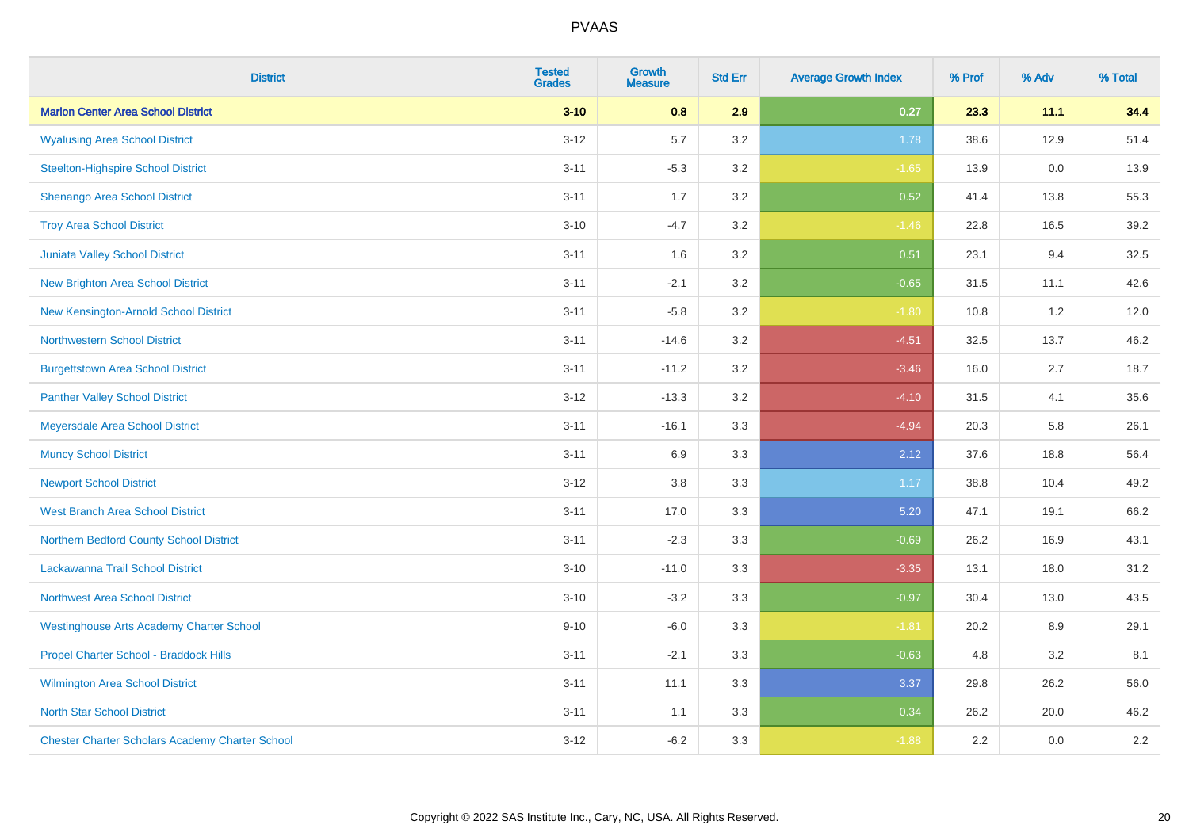| <b>District</b>                                        | <b>Tested</b><br><b>Grades</b> | <b>Growth</b><br><b>Measure</b> | <b>Std Err</b> | <b>Average Growth Index</b> | % Prof | % Adv | % Total |
|--------------------------------------------------------|--------------------------------|---------------------------------|----------------|-----------------------------|--------|-------|---------|
| <b>Marion Center Area School District</b>              | $3 - 10$                       | 0.8                             | 2.9            | 0.27                        | 23.3   | 11.1  | 34.4    |
| <b>Wyalusing Area School District</b>                  | $3 - 12$                       | 5.7                             | 3.2            | 1.78                        | 38.6   | 12.9  | 51.4    |
| <b>Steelton-Highspire School District</b>              | $3 - 11$                       | $-5.3$                          | 3.2            | $-1.65$                     | 13.9   | 0.0   | 13.9    |
| Shenango Area School District                          | $3 - 11$                       | 1.7                             | 3.2            | 0.52                        | 41.4   | 13.8  | 55.3    |
| <b>Troy Area School District</b>                       | $3 - 10$                       | $-4.7$                          | 3.2            | $-1.46$                     | 22.8   | 16.5  | 39.2    |
| Juniata Valley School District                         | $3 - 11$                       | 1.6                             | 3.2            | 0.51                        | 23.1   | 9.4   | 32.5    |
| <b>New Brighton Area School District</b>               | $3 - 11$                       | $-2.1$                          | 3.2            | $-0.65$                     | 31.5   | 11.1  | 42.6    |
| New Kensington-Arnold School District                  | $3 - 11$                       | $-5.8$                          | 3.2            | $-1.80$                     | 10.8   | 1.2   | 12.0    |
| <b>Northwestern School District</b>                    | $3 - 11$                       | $-14.6$                         | 3.2            | $-4.51$                     | 32.5   | 13.7  | 46.2    |
| <b>Burgettstown Area School District</b>               | $3 - 11$                       | $-11.2$                         | 3.2            | $-3.46$                     | 16.0   | 2.7   | 18.7    |
| <b>Panther Valley School District</b>                  | $3 - 12$                       | $-13.3$                         | 3.2            | $-4.10$                     | 31.5   | 4.1   | 35.6    |
| Meyersdale Area School District                        | $3 - 11$                       | $-16.1$                         | 3.3            | $-4.94$                     | 20.3   | 5.8   | 26.1    |
| <b>Muncy School District</b>                           | $3 - 11$                       | 6.9                             | 3.3            | 2.12                        | 37.6   | 18.8  | 56.4    |
| <b>Newport School District</b>                         | $3 - 12$                       | $3.8\,$                         | 3.3            | 1.17                        | 38.8   | 10.4  | 49.2    |
| <b>West Branch Area School District</b>                | $3 - 11$                       | 17.0                            | 3.3            | 5.20                        | 47.1   | 19.1  | 66.2    |
| Northern Bedford County School District                | $3 - 11$                       | $-2.3$                          | 3.3            | $-0.69$                     | 26.2   | 16.9  | 43.1    |
| Lackawanna Trail School District                       | $3 - 10$                       | $-11.0$                         | 3.3            | $-3.35$                     | 13.1   | 18.0  | 31.2    |
| <b>Northwest Area School District</b>                  | $3 - 10$                       | $-3.2$                          | 3.3            | $-0.97$                     | 30.4   | 13.0  | 43.5    |
| <b>Westinghouse Arts Academy Charter School</b>        | $9 - 10$                       | $-6.0$                          | 3.3            | $-1.81$                     | 20.2   | 8.9   | 29.1    |
| Propel Charter School - Braddock Hills                 | $3 - 11$                       | $-2.1$                          | 3.3            | $-0.63$                     | 4.8    | 3.2   | 8.1     |
| Wilmington Area School District                        | $3 - 11$                       | 11.1                            | 3.3            | 3.37                        | 29.8   | 26.2  | 56.0    |
| <b>North Star School District</b>                      | $3 - 11$                       | 1.1                             | 3.3            | 0.34                        | 26.2   | 20.0  | 46.2    |
| <b>Chester Charter Scholars Academy Charter School</b> | $3 - 12$                       | $-6.2$                          | 3.3            | $-1.88$                     | 2.2    | 0.0   | 2.2     |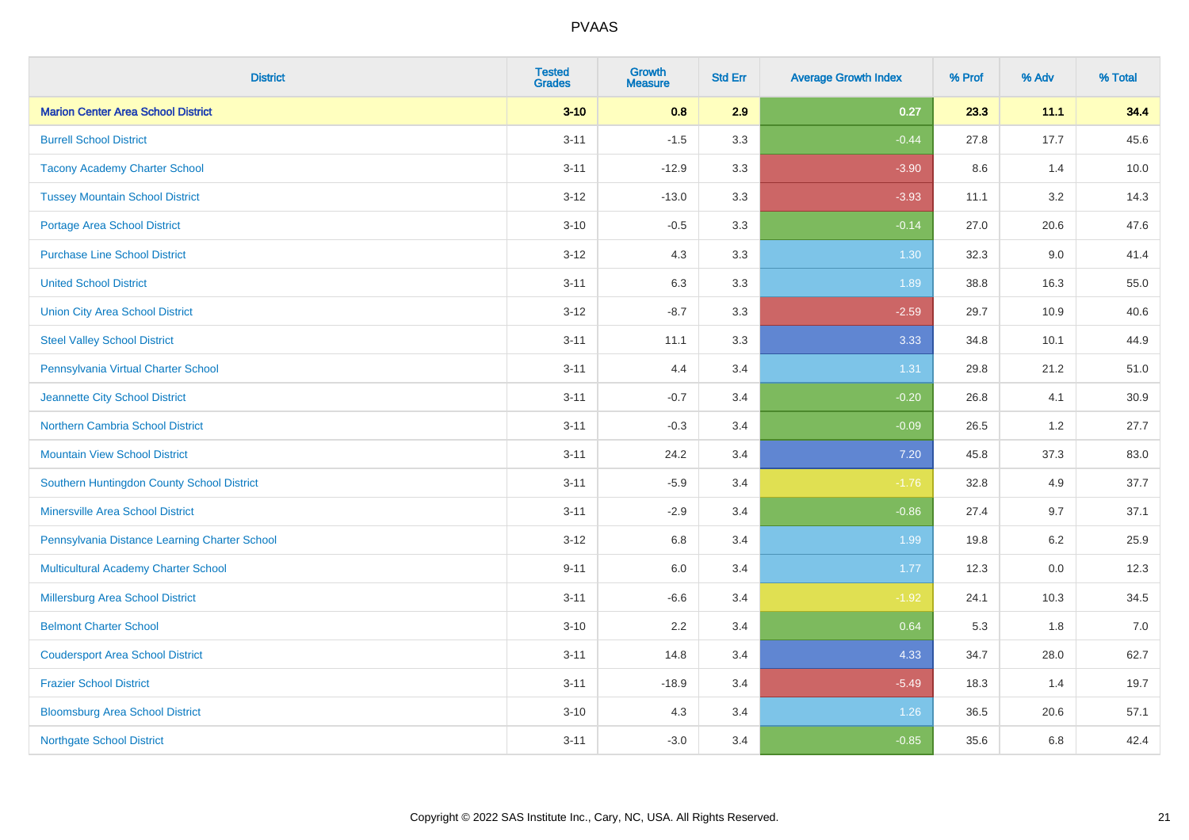| <b>District</b>                               | <b>Tested</b><br><b>Grades</b> | Growth<br><b>Measure</b> | <b>Std Err</b> | <b>Average Growth Index</b> | % Prof | % Adv   | % Total |
|-----------------------------------------------|--------------------------------|--------------------------|----------------|-----------------------------|--------|---------|---------|
| <b>Marion Center Area School District</b>     | $3 - 10$                       | 0.8                      | 2.9            | 0.27                        | 23.3   | 11.1    | 34.4    |
| <b>Burrell School District</b>                | $3 - 11$                       | $-1.5$                   | 3.3            | $-0.44$                     | 27.8   | 17.7    | 45.6    |
| <b>Tacony Academy Charter School</b>          | $3 - 11$                       | $-12.9$                  | 3.3            | $-3.90$                     | 8.6    | 1.4     | 10.0    |
| <b>Tussey Mountain School District</b>        | $3 - 12$                       | $-13.0$                  | 3.3            | $-3.93$                     | 11.1   | 3.2     | 14.3    |
| <b>Portage Area School District</b>           | $3 - 10$                       | $-0.5$                   | 3.3            | $-0.14$                     | 27.0   | 20.6    | 47.6    |
| <b>Purchase Line School District</b>          | $3 - 12$                       | 4.3                      | 3.3            | 1.30                        | 32.3   | 9.0     | 41.4    |
| <b>United School District</b>                 | $3 - 11$                       | 6.3                      | 3.3            | 1.89                        | 38.8   | 16.3    | 55.0    |
| <b>Union City Area School District</b>        | $3 - 12$                       | $-8.7$                   | 3.3            | $-2.59$                     | 29.7   | 10.9    | 40.6    |
| <b>Steel Valley School District</b>           | $3 - 11$                       | 11.1                     | 3.3            | 3.33                        | 34.8   | 10.1    | 44.9    |
| Pennsylvania Virtual Charter School           | $3 - 11$                       | 4.4                      | 3.4            | 1.31                        | 29.8   | 21.2    | 51.0    |
| Jeannette City School District                | $3 - 11$                       | $-0.7$                   | 3.4            | $-0.20$                     | 26.8   | 4.1     | 30.9    |
| <b>Northern Cambria School District</b>       | $3 - 11$                       | $-0.3$                   | 3.4            | $-0.09$                     | 26.5   | 1.2     | 27.7    |
| <b>Mountain View School District</b>          | $3 - 11$                       | 24.2                     | 3.4            | 7.20                        | 45.8   | 37.3    | 83.0    |
| Southern Huntingdon County School District    | $3 - 11$                       | $-5.9$                   | 3.4            | $-1.76$                     | 32.8   | 4.9     | 37.7    |
| <b>Minersville Area School District</b>       | $3 - 11$                       | $-2.9$                   | 3.4            | $-0.86$                     | 27.4   | 9.7     | 37.1    |
| Pennsylvania Distance Learning Charter School | $3 - 12$                       | $6.8\,$                  | 3.4            | 1.99                        | 19.8   | $6.2\,$ | 25.9    |
| Multicultural Academy Charter School          | $9 - 11$                       | 6.0                      | 3.4            | 1.77                        | 12.3   | 0.0     | 12.3    |
| Millersburg Area School District              | $3 - 11$                       | $-6.6$                   | 3.4            | $-1.92$                     | 24.1   | 10.3    | 34.5    |
| <b>Belmont Charter School</b>                 | $3 - 10$                       | 2.2                      | 3.4            | 0.64                        | 5.3    | 1.8     | 7.0     |
| <b>Coudersport Area School District</b>       | $3 - 11$                       | 14.8                     | 3.4            | 4.33                        | 34.7   | 28.0    | 62.7    |
| <b>Frazier School District</b>                | $3 - 11$                       | $-18.9$                  | 3.4            | $-5.49$                     | 18.3   | 1.4     | 19.7    |
| <b>Bloomsburg Area School District</b>        | $3 - 10$                       | 4.3                      | 3.4            | 1.26                        | 36.5   | 20.6    | 57.1    |
| <b>Northgate School District</b>              | $3 - 11$                       | $-3.0$                   | 3.4            | $-0.85$                     | 35.6   | 6.8     | 42.4    |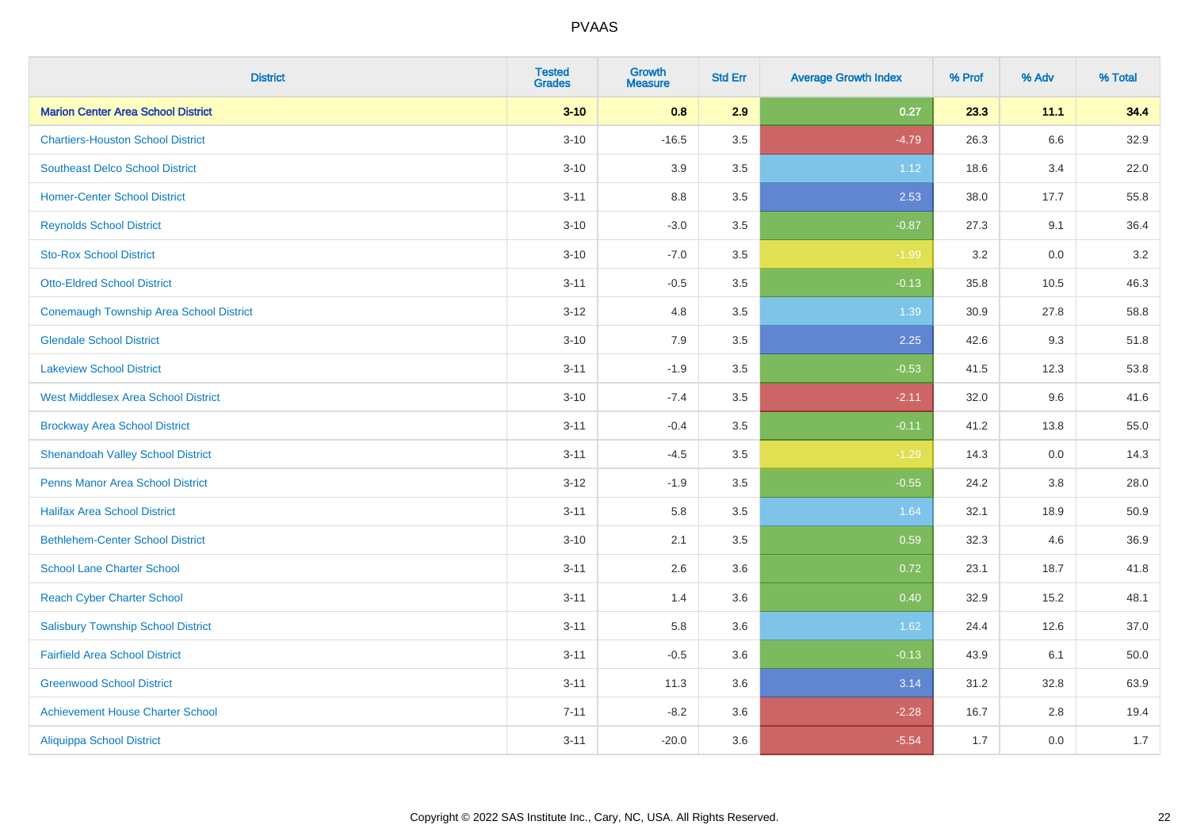| <b>District</b>                            | <b>Tested</b><br><b>Grades</b> | <b>Growth</b><br><b>Measure</b> | <b>Std Err</b> | <b>Average Growth Index</b> | % Prof | % Adv | % Total |
|--------------------------------------------|--------------------------------|---------------------------------|----------------|-----------------------------|--------|-------|---------|
| <b>Marion Center Area School District</b>  | $3 - 10$                       | 0.8                             | 2.9            | 0.27                        | 23.3   | 11.1  | 34.4    |
| <b>Chartiers-Houston School District</b>   | $3 - 10$                       | $-16.5$                         | 3.5            | $-4.79$                     | 26.3   | 6.6   | 32.9    |
| <b>Southeast Delco School District</b>     | $3 - 10$                       | 3.9                             | 3.5            | 1.12                        | 18.6   | 3.4   | 22.0    |
| <b>Homer-Center School District</b>        | $3 - 11$                       | $8.8\,$                         | 3.5            | 2.53                        | 38.0   | 17.7  | 55.8    |
| <b>Reynolds School District</b>            | $3 - 10$                       | $-3.0$                          | 3.5            | $-0.87$                     | 27.3   | 9.1   | 36.4    |
| <b>Sto-Rox School District</b>             | $3 - 10$                       | $-7.0$                          | 3.5            | $-1.99$                     | 3.2    | 0.0   | $3.2\,$ |
| <b>Otto-Eldred School District</b>         | $3 - 11$                       | $-0.5$                          | 3.5            | $-0.13$                     | 35.8   | 10.5  | 46.3    |
| Conemaugh Township Area School District    | $3 - 12$                       | 4.8                             | 3.5            | 1.39                        | 30.9   | 27.8  | 58.8    |
| <b>Glendale School District</b>            | $3 - 10$                       | 7.9                             | 3.5            | 2.25                        | 42.6   | 9.3   | 51.8    |
| <b>Lakeview School District</b>            | $3 - 11$                       | $-1.9$                          | 3.5            | $-0.53$                     | 41.5   | 12.3  | 53.8    |
| <b>West Middlesex Area School District</b> | $3 - 10$                       | $-7.4$                          | 3.5            | $-2.11$                     | 32.0   | 9.6   | 41.6    |
| <b>Brockway Area School District</b>       | $3 - 11$                       | $-0.4$                          | 3.5            | $-0.11$                     | 41.2   | 13.8  | 55.0    |
| <b>Shenandoah Valley School District</b>   | $3 - 11$                       | $-4.5$                          | 3.5            | $-1.29$                     | 14.3   | 0.0   | 14.3    |
| <b>Penns Manor Area School District</b>    | $3-12$                         | $-1.9$                          | 3.5            | $-0.55$                     | 24.2   | 3.8   | 28.0    |
| <b>Halifax Area School District</b>        | $3 - 11$                       | 5.8                             | 3.5            | 1.64                        | 32.1   | 18.9  | 50.9    |
| <b>Bethlehem-Center School District</b>    | $3 - 10$                       | 2.1                             | 3.5            | 0.59                        | 32.3   | 4.6   | 36.9    |
| <b>School Lane Charter School</b>          | $3 - 11$                       | 2.6                             | 3.6            | 0.72                        | 23.1   | 18.7  | 41.8    |
| <b>Reach Cyber Charter School</b>          | $3 - 11$                       | 1.4                             | 3.6            | 0.40                        | 32.9   | 15.2  | 48.1    |
| <b>Salisbury Township School District</b>  | $3 - 11$                       | 5.8                             | 3.6            | 1.62                        | 24.4   | 12.6  | 37.0    |
| <b>Fairfield Area School District</b>      | $3 - 11$                       | $-0.5$                          | 3.6            | $-0.13$                     | 43.9   | 6.1   | 50.0    |
| <b>Greenwood School District</b>           | $3 - 11$                       | 11.3                            | 3.6            | 3.14                        | 31.2   | 32.8  | 63.9    |
| <b>Achievement House Charter School</b>    | $7 - 11$                       | $-8.2$                          | 3.6            | $-2.28$                     | 16.7   | 2.8   | 19.4    |
| <b>Aliquippa School District</b>           | $3 - 11$                       | $-20.0$                         | 3.6            | $-5.54$                     | 1.7    | 0.0   | 1.7     |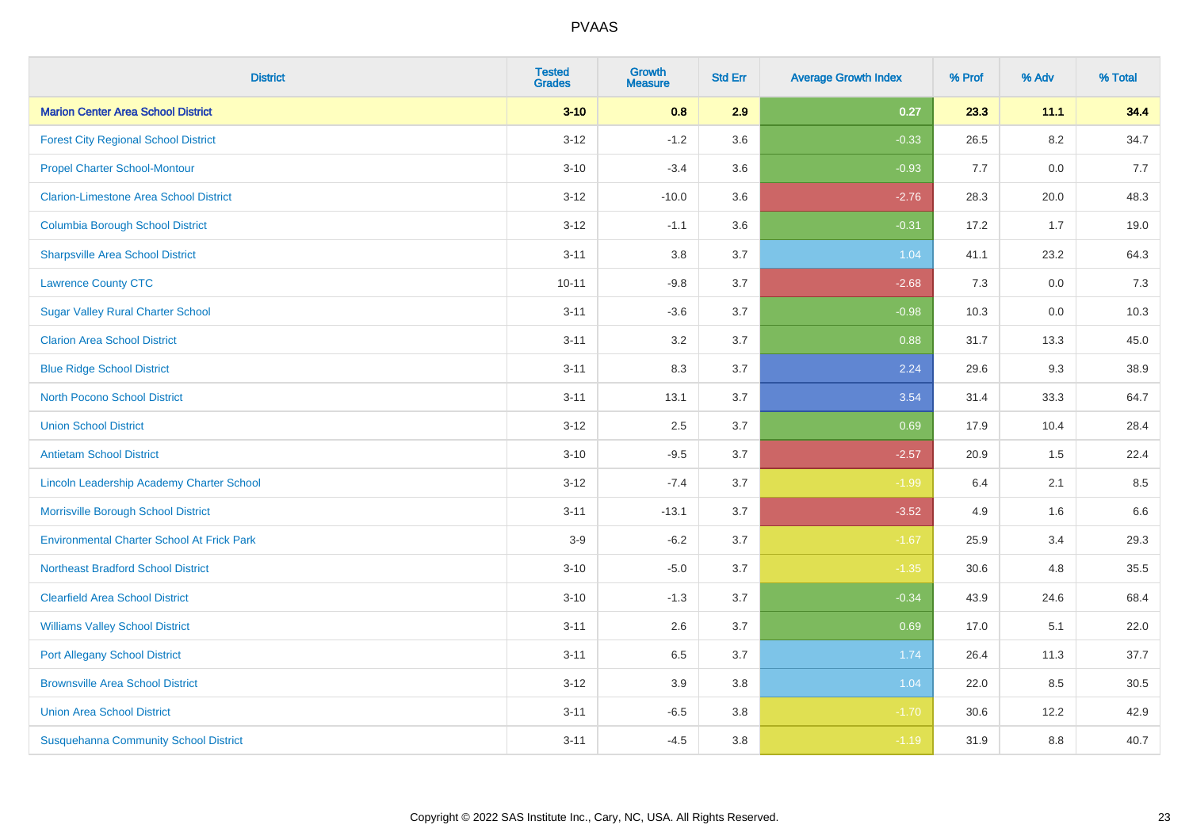| <b>District</b>                                   | <b>Tested</b><br><b>Grades</b> | <b>Growth</b><br><b>Measure</b> | <b>Std Err</b> | <b>Average Growth Index</b> | % Prof | % Adv   | % Total |
|---------------------------------------------------|--------------------------------|---------------------------------|----------------|-----------------------------|--------|---------|---------|
| <b>Marion Center Area School District</b>         | $3 - 10$                       | 0.8                             | 2.9            | 0.27                        | 23.3   | 11.1    | 34.4    |
| <b>Forest City Regional School District</b>       | $3 - 12$                       | $-1.2$                          | 3.6            | $-0.33$                     | 26.5   | $8.2\,$ | 34.7    |
| <b>Propel Charter School-Montour</b>              | $3 - 10$                       | $-3.4$                          | 3.6            | $-0.93$                     | 7.7    | 0.0     | 7.7     |
| <b>Clarion-Limestone Area School District</b>     | $3 - 12$                       | $-10.0$                         | 3.6            | $-2.76$                     | 28.3   | 20.0    | 48.3    |
| <b>Columbia Borough School District</b>           | $3 - 12$                       | $-1.1$                          | 3.6            | $-0.31$                     | 17.2   | 1.7     | 19.0    |
| <b>Sharpsville Area School District</b>           | $3 - 11$                       | 3.8                             | 3.7            | 1.04                        | 41.1   | 23.2    | 64.3    |
| <b>Lawrence County CTC</b>                        | $10 - 11$                      | $-9.8$                          | 3.7            | $-2.68$                     | 7.3    | 0.0     | 7.3     |
| <b>Sugar Valley Rural Charter School</b>          | $3 - 11$                       | $-3.6$                          | 3.7            | $-0.98$                     | 10.3   | 0.0     | 10.3    |
| <b>Clarion Area School District</b>               | $3 - 11$                       | 3.2                             | 3.7            | 0.88                        | 31.7   | 13.3    | 45.0    |
| <b>Blue Ridge School District</b>                 | $3 - 11$                       | 8.3                             | 3.7            | 2.24                        | 29.6   | 9.3     | 38.9    |
| <b>North Pocono School District</b>               | $3 - 11$                       | 13.1                            | 3.7            | 3.54                        | 31.4   | 33.3    | 64.7    |
| <b>Union School District</b>                      | $3 - 12$                       | 2.5                             | 3.7            | 0.69                        | 17.9   | 10.4    | 28.4    |
| <b>Antietam School District</b>                   | $3 - 10$                       | $-9.5$                          | 3.7            | $-2.57$                     | 20.9   | 1.5     | 22.4    |
| Lincoln Leadership Academy Charter School         | $3 - 12$                       | $-7.4$                          | 3.7            | $-1.99$                     | 6.4    | 2.1     | 8.5     |
| Morrisville Borough School District               | $3 - 11$                       | $-13.1$                         | 3.7            | $-3.52$                     | 4.9    | 1.6     | 6.6     |
| <b>Environmental Charter School At Frick Park</b> | $3-9$                          | $-6.2$                          | 3.7            | $-1.67$                     | 25.9   | 3.4     | 29.3    |
| <b>Northeast Bradford School District</b>         | $3 - 10$                       | $-5.0$                          | 3.7            | $-1.35$                     | 30.6   | 4.8     | 35.5    |
| <b>Clearfield Area School District</b>            | $3 - 10$                       | $-1.3$                          | 3.7            | $-0.34$                     | 43.9   | 24.6    | 68.4    |
| <b>Williams Valley School District</b>            | $3 - 11$                       | 2.6                             | 3.7            | 0.69                        | 17.0   | 5.1     | 22.0    |
| <b>Port Allegany School District</b>              | $3 - 11$                       | 6.5                             | 3.7            | 1.74                        | 26.4   | 11.3    | 37.7    |
| <b>Brownsville Area School District</b>           | $3 - 12$                       | 3.9                             | 3.8            | 1.04                        | 22.0   | 8.5     | 30.5    |
| <b>Union Area School District</b>                 | $3 - 11$                       | $-6.5$                          | 3.8            | $-1.70$                     | 30.6   | 12.2    | 42.9    |
| <b>Susquehanna Community School District</b>      | $3 - 11$                       | $-4.5$                          | 3.8            | $-1.19$                     | 31.9   | 8.8     | 40.7    |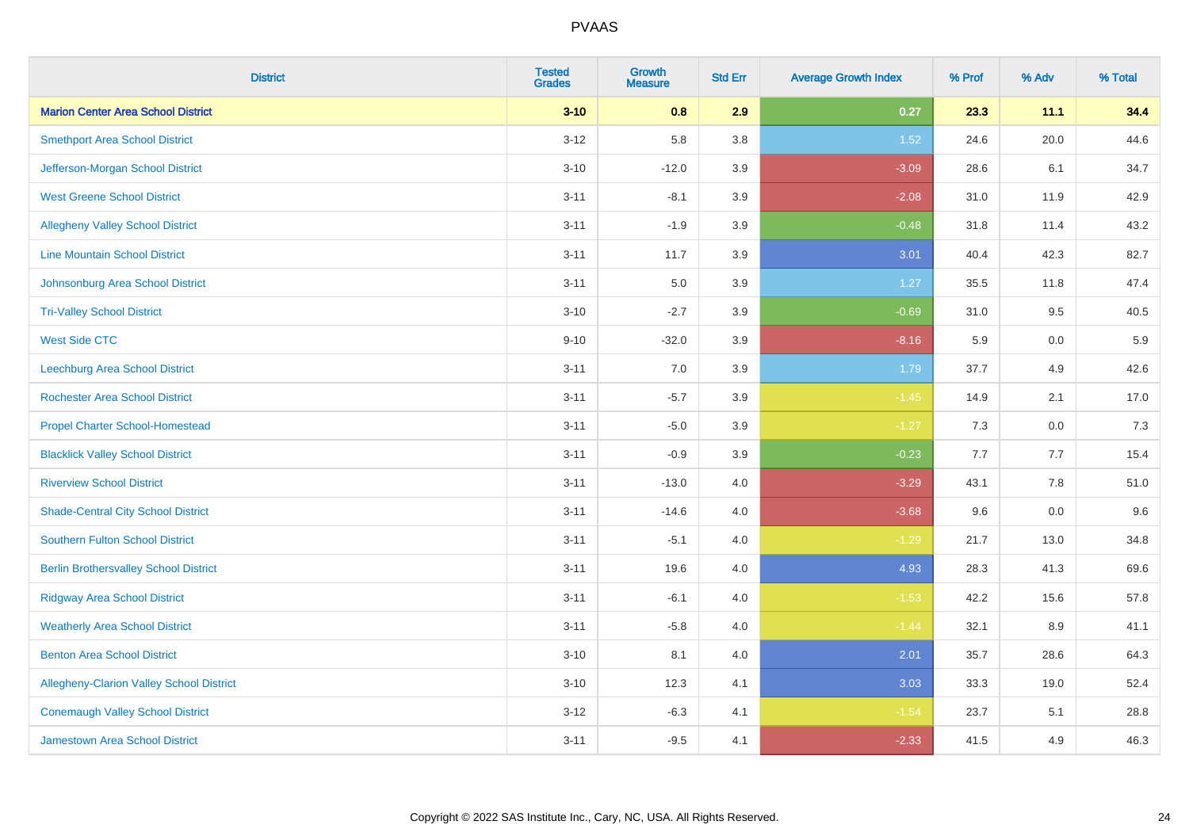| <b>District</b>                                 | <b>Tested</b><br><b>Grades</b> | <b>Growth</b><br><b>Measure</b> | <b>Std Err</b> | <b>Average Growth Index</b> | % Prof | % Adv   | % Total |
|-------------------------------------------------|--------------------------------|---------------------------------|----------------|-----------------------------|--------|---------|---------|
| <b>Marion Center Area School District</b>       | $3 - 10$                       | 0.8                             | 2.9            | 0.27                        | 23.3   | 11.1    | 34.4    |
| <b>Smethport Area School District</b>           | $3 - 12$                       | 5.8                             | 3.8            | 1.52                        | 24.6   | 20.0    | 44.6    |
| Jefferson-Morgan School District                | $3 - 10$                       | $-12.0$                         | 3.9            | $-3.09$                     | 28.6   | 6.1     | 34.7    |
| <b>West Greene School District</b>              | $3 - 11$                       | $-8.1$                          | 3.9            | $-2.08$                     | 31.0   | 11.9    | 42.9    |
| <b>Allegheny Valley School District</b>         | $3 - 11$                       | $-1.9$                          | 3.9            | $-0.48$                     | 31.8   | 11.4    | 43.2    |
| <b>Line Mountain School District</b>            | $3 - 11$                       | 11.7                            | 3.9            | 3.01                        | 40.4   | 42.3    | 82.7    |
| Johnsonburg Area School District                | $3 - 11$                       | 5.0                             | 3.9            | 1.27                        | 35.5   | 11.8    | 47.4    |
| <b>Tri-Valley School District</b>               | $3 - 10$                       | $-2.7$                          | 3.9            | $-0.69$                     | 31.0   | 9.5     | 40.5    |
| <b>West Side CTC</b>                            | $9 - 10$                       | $-32.0$                         | 3.9            | $-8.16$                     | 5.9    | 0.0     | 5.9     |
| <b>Leechburg Area School District</b>           | $3 - 11$                       | 7.0                             | 3.9            | 1.79                        | 37.7   | 4.9     | 42.6    |
| <b>Rochester Area School District</b>           | $3 - 11$                       | $-5.7$                          | 3.9            | $-1.45$                     | 14.9   | 2.1     | 17.0    |
| <b>Propel Charter School-Homestead</b>          | $3 - 11$                       | $-5.0$                          | 3.9            | $-1.27$                     | 7.3    | 0.0     | 7.3     |
| <b>Blacklick Valley School District</b>         | $3 - 11$                       | $-0.9$                          | 3.9            | $-0.23$                     | 7.7    | 7.7     | 15.4    |
| <b>Riverview School District</b>                | $3 - 11$                       | $-13.0$                         | $4.0\,$        | $-3.29$                     | 43.1   | $7.8\,$ | 51.0    |
| <b>Shade-Central City School District</b>       | $3 - 11$                       | $-14.6$                         | 4.0            | $-3.68$                     | 9.6    | 0.0     | 9.6     |
| <b>Southern Fulton School District</b>          | $3 - 11$                       | $-5.1$                          | 4.0            | $-1.29$                     | 21.7   | 13.0    | 34.8    |
| <b>Berlin Brothersvalley School District</b>    | $3 - 11$                       | 19.6                            | 4.0            | 4.93                        | 28.3   | 41.3    | 69.6    |
| <b>Ridgway Area School District</b>             | $3 - 11$                       | $-6.1$                          | 4.0            | $-1.53$                     | 42.2   | 15.6    | 57.8    |
| <b>Weatherly Area School District</b>           | $3 - 11$                       | $-5.8$                          | $4.0\,$        | $-1.44$                     | 32.1   | 8.9     | 41.1    |
| <b>Benton Area School District</b>              | $3 - 10$                       | 8.1                             | 4.0            | 2.01                        | 35.7   | 28.6    | 64.3    |
| <b>Allegheny-Clarion Valley School District</b> | $3 - 10$                       | 12.3                            | 4.1            | 3.03                        | 33.3   | 19.0    | 52.4    |
| <b>Conemaugh Valley School District</b>         | $3 - 12$                       | $-6.3$                          | 4.1            | $-1.54$                     | 23.7   | 5.1     | 28.8    |
| Jamestown Area School District                  | $3 - 11$                       | $-9.5$                          | 4.1            | $-2.33$                     | 41.5   | 4.9     | 46.3    |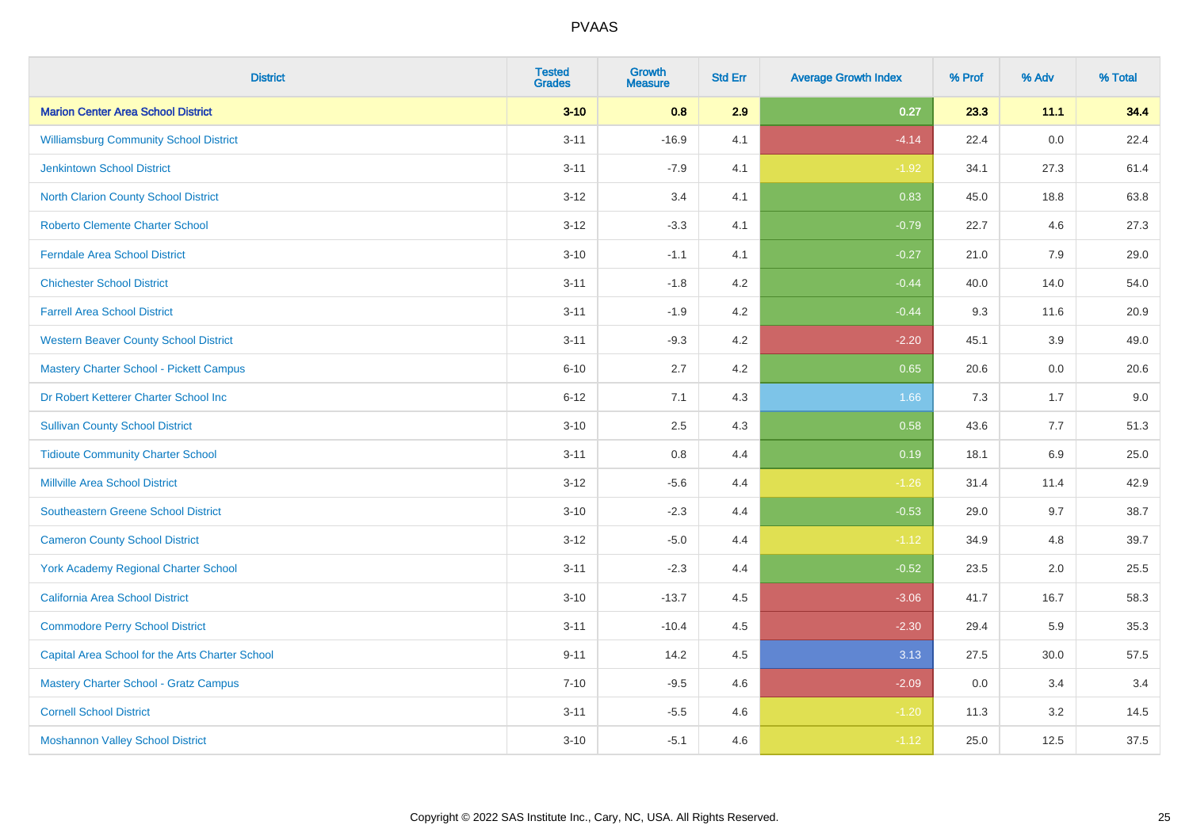| <b>District</b>                                 | <b>Tested</b><br><b>Grades</b> | <b>Growth</b><br><b>Measure</b> | <b>Std Err</b> | <b>Average Growth Index</b> | % Prof | % Adv | % Total |
|-------------------------------------------------|--------------------------------|---------------------------------|----------------|-----------------------------|--------|-------|---------|
| <b>Marion Center Area School District</b>       | $3 - 10$                       | 0.8                             | 2.9            | 0.27                        | 23.3   | 11.1  | 34.4    |
| <b>Williamsburg Community School District</b>   | $3 - 11$                       | $-16.9$                         | 4.1            | $-4.14$                     | 22.4   | 0.0   | 22.4    |
| <b>Jenkintown School District</b>               | $3 - 11$                       | $-7.9$                          | 4.1            | $-1.92$                     | 34.1   | 27.3  | 61.4    |
| North Clarion County School District            | $3 - 12$                       | 3.4                             | 4.1            | 0.83                        | 45.0   | 18.8  | 63.8    |
| <b>Roberto Clemente Charter School</b>          | $3 - 12$                       | $-3.3$                          | 4.1            | $-0.79$                     | 22.7   | 4.6   | 27.3    |
| <b>Ferndale Area School District</b>            | $3 - 10$                       | $-1.1$                          | 4.1            | $-0.27$                     | 21.0   | 7.9   | 29.0    |
| <b>Chichester School District</b>               | $3 - 11$                       | $-1.8$                          | 4.2            | $-0.44$                     | 40.0   | 14.0  | 54.0    |
| <b>Farrell Area School District</b>             | $3 - 11$                       | $-1.9$                          | 4.2            | $-0.44$                     | 9.3    | 11.6  | 20.9    |
| <b>Western Beaver County School District</b>    | $3 - 11$                       | $-9.3$                          | 4.2            | $-2.20$                     | 45.1   | 3.9   | 49.0    |
| <b>Mastery Charter School - Pickett Campus</b>  | $6 - 10$                       | 2.7                             | 4.2            | 0.65                        | 20.6   | 0.0   | 20.6    |
| Dr Robert Ketterer Charter School Inc           | $6 - 12$                       | 7.1                             | 4.3            | 1.66                        | 7.3    | 1.7   | 9.0     |
| <b>Sullivan County School District</b>          | $3 - 10$                       | 2.5                             | 4.3            | 0.58                        | 43.6   | 7.7   | 51.3    |
| <b>Tidioute Community Charter School</b>        | $3 - 11$                       | $0.8\,$                         | 4.4            | 0.19                        | 18.1   | 6.9   | 25.0    |
| <b>Millville Area School District</b>           | $3 - 12$                       | $-5.6$                          | 4.4            | $-1.26$                     | 31.4   | 11.4  | 42.9    |
| <b>Southeastern Greene School District</b>      | $3 - 10$                       | $-2.3$                          | 4.4            | $-0.53$                     | 29.0   | 9.7   | 38.7    |
| <b>Cameron County School District</b>           | $3 - 12$                       | $-5.0$                          | 4.4            | $-1.12$                     | 34.9   | 4.8   | 39.7    |
| <b>York Academy Regional Charter School</b>     | $3 - 11$                       | $-2.3$                          | 4.4            | $-0.52$                     | 23.5   | 2.0   | 25.5    |
| California Area School District                 | $3 - 10$                       | $-13.7$                         | 4.5            | $-3.06$                     | 41.7   | 16.7  | 58.3    |
| <b>Commodore Perry School District</b>          | $3 - 11$                       | $-10.4$                         | 4.5            | $-2.30$                     | 29.4   | 5.9   | 35.3    |
| Capital Area School for the Arts Charter School | $9 - 11$                       | 14.2                            | 4.5            | 3.13                        | 27.5   | 30.0  | 57.5    |
| <b>Mastery Charter School - Gratz Campus</b>    | $7 - 10$                       | $-9.5$                          | 4.6            | $-2.09$                     | 0.0    | 3.4   | 3.4     |
| <b>Cornell School District</b>                  | $3 - 11$                       | $-5.5$                          | 4.6            | $-1.20$                     | 11.3   | 3.2   | 14.5    |
| <b>Moshannon Valley School District</b>         | $3 - 10$                       | $-5.1$                          | 4.6            | $-1.12$                     | 25.0   | 12.5  | 37.5    |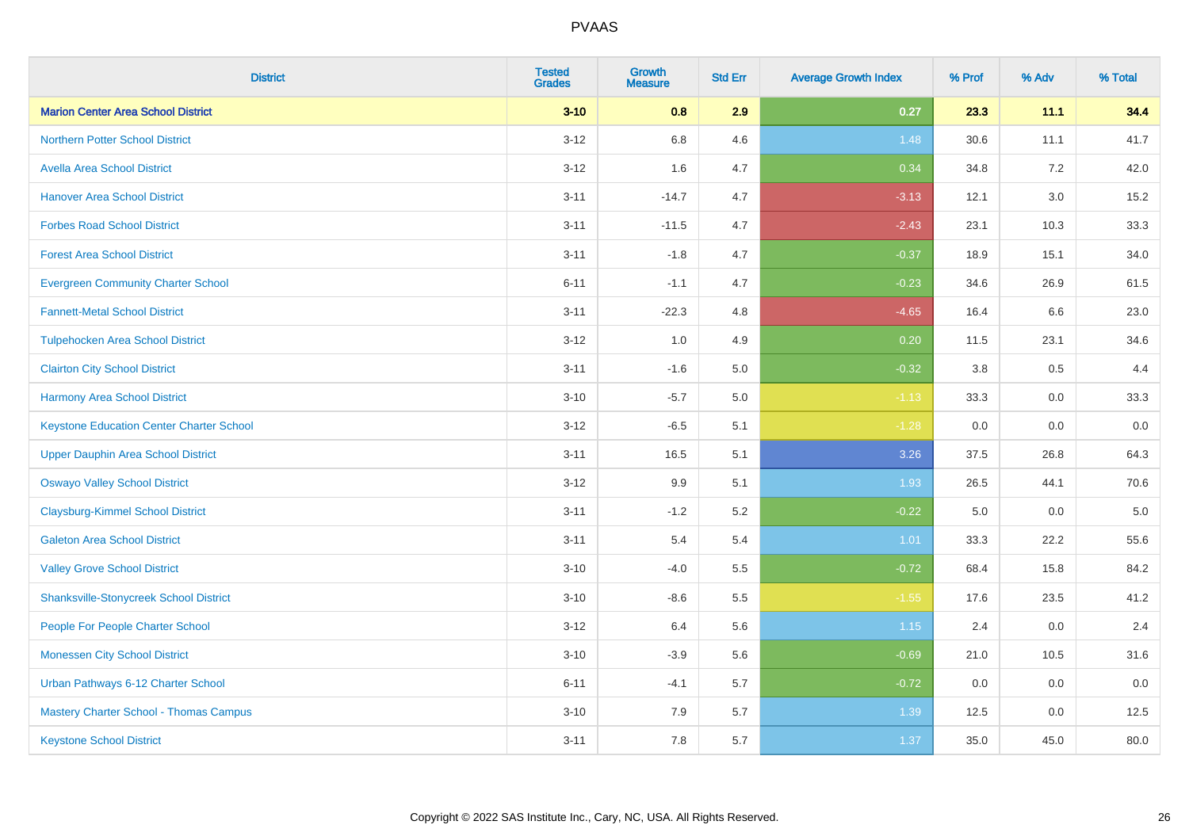| <b>District</b>                                 | <b>Tested</b><br><b>Grades</b> | <b>Growth</b><br><b>Measure</b> | <b>Std Err</b> | <b>Average Growth Index</b> | % Prof | % Adv   | % Total |
|-------------------------------------------------|--------------------------------|---------------------------------|----------------|-----------------------------|--------|---------|---------|
| <b>Marion Center Area School District</b>       | $3 - 10$                       | 0.8                             | 2.9            | 0.27                        | 23.3   | 11.1    | 34.4    |
| <b>Northern Potter School District</b>          | $3-12$                         | 6.8                             | 4.6            | 1.48                        | 30.6   | 11.1    | 41.7    |
| <b>Avella Area School District</b>              | $3 - 12$                       | 1.6                             | 4.7            | 0.34                        | 34.8   | 7.2     | 42.0    |
| <b>Hanover Area School District</b>             | $3 - 11$                       | $-14.7$                         | 4.7            | $-3.13$                     | 12.1   | $3.0\,$ | 15.2    |
| <b>Forbes Road School District</b>              | $3 - 11$                       | $-11.5$                         | 4.7            | $-2.43$                     | 23.1   | 10.3    | 33.3    |
| <b>Forest Area School District</b>              | $3 - 11$                       | $-1.8$                          | 4.7            | $-0.37$                     | 18.9   | 15.1    | 34.0    |
| <b>Evergreen Community Charter School</b>       | $6 - 11$                       | $-1.1$                          | 4.7            | $-0.23$                     | 34.6   | 26.9    | 61.5    |
| <b>Fannett-Metal School District</b>            | $3 - 11$                       | $-22.3$                         | 4.8            | $-4.65$                     | 16.4   | 6.6     | 23.0    |
| <b>Tulpehocken Area School District</b>         | $3 - 12$                       | 1.0                             | 4.9            | 0.20                        | 11.5   | 23.1    | 34.6    |
| <b>Clairton City School District</b>            | $3 - 11$                       | $-1.6$                          | 5.0            | $-0.32$                     | 3.8    | 0.5     | 4.4     |
| <b>Harmony Area School District</b>             | $3 - 10$                       | $-5.7$                          | 5.0            | $-1.13$                     | 33.3   | 0.0     | 33.3    |
| <b>Keystone Education Center Charter School</b> | $3 - 12$                       | $-6.5$                          | 5.1            | $-1.28$                     | 0.0    | 0.0     | 0.0     |
| <b>Upper Dauphin Area School District</b>       | $3 - 11$                       | 16.5                            | 5.1            | 3.26                        | 37.5   | 26.8    | 64.3    |
| <b>Oswayo Valley School District</b>            | $3 - 12$                       | 9.9                             | 5.1            | 1.93                        | 26.5   | 44.1    | 70.6    |
| <b>Claysburg-Kimmel School District</b>         | $3 - 11$                       | $-1.2$                          | 5.2            | $-0.22$                     | 5.0    | 0.0     | $5.0$   |
| <b>Galeton Area School District</b>             | $3 - 11$                       | 5.4                             | 5.4            | 1.01                        | 33.3   | 22.2    | 55.6    |
| <b>Valley Grove School District</b>             | $3 - 10$                       | $-4.0$                          | 5.5            | $-0.72$                     | 68.4   | 15.8    | 84.2    |
| <b>Shanksville-Stonycreek School District</b>   | $3 - 10$                       | $-8.6$                          | 5.5            | $-1.55$                     | 17.6   | 23.5    | 41.2    |
| People For People Charter School                | $3 - 12$                       | 6.4                             | 5.6            | 1.15                        | 2.4    | 0.0     | 2.4     |
| <b>Monessen City School District</b>            | $3 - 10$                       | $-3.9$                          | 5.6            | $-0.69$                     | 21.0   | 10.5    | 31.6    |
| Urban Pathways 6-12 Charter School              | $6 - 11$                       | $-4.1$                          | 5.7            | $-0.72$                     | 0.0    | 0.0     | 0.0     |
| Mastery Charter School - Thomas Campus          | $3 - 10$                       | 7.9                             | 5.7            | 1.39                        | 12.5   | 0.0     | 12.5    |
| <b>Keystone School District</b>                 | $3 - 11$                       | 7.8                             | 5.7            | 1.37                        | 35.0   | 45.0    | 80.0    |